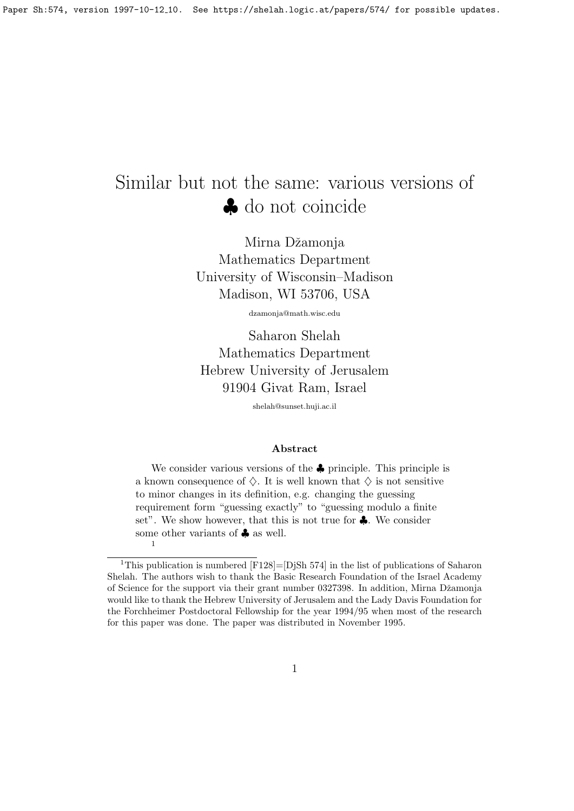# Similar but not the same: various versions of ♣ do not coincide

Mirna Džamonja Mathematics Department University of Wisconsin–Madison Madison, WI 53706, USA

dzamonja@math.wisc.edu

Saharon Shelah Mathematics Department Hebrew University of Jerusalem 91904 Givat Ram, Israel

shelah@sunset.huji.ac.il

#### Abstract

We consider various versions of the ♣ principle. This principle is a known consequence of  $\diamondsuit$ . It is well known that  $\diamondsuit$  is not sensitive to minor changes in its definition, e.g. changing the guessing requirement form "guessing exactly" to "guessing modulo a finite set". We show however, that this is not true for ♣. We consider some other variants of **♣** as well. 1

<sup>&</sup>lt;sup>1</sup>This publication is numbered  $[F128] = [D]$ Sh 574 in the list of publications of Saharon Shelah. The authors wish to thank the Basic Research Foundation of the Israel Academy of Science for the support via their grant number 0327398. In addition, Mirna Džamonja would like to thank the Hebrew University of Jerusalem and the Lady Davis Foundation for the Forchheimer Postdoctoral Fellowship for the year 1994/95 when most of the research for this paper was done. The paper was distributed in November 1995.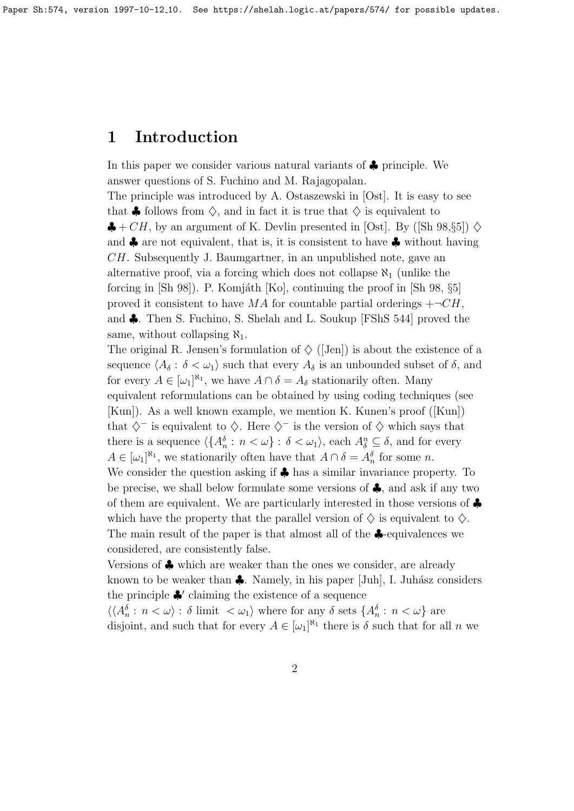### 1 Introduction

answer questions of S. Fuchino and M. Rajagopalan. The principle was introduced by A. Ostaszewski in [Ost]. It is easy to see that  $\clubsuit$  follows from  $\diamondsuit$ , and in fact it is true that  $\diamondsuit$  is equivalent to  $\clubsuit + CH$ , by an argument of K. Devlin presented in [Ost]. By ([Sh 98, §5])  $\diamondsuit$ and  $\clubsuit$  are not equivalent, that is, it is consistent to have  $\clubsuit$  without having CH. Subsequently J. Baumgartner, in an unpublished note, gave an alternative proof, via a forcing which does not collapse  $\aleph_1$  (unlike the forcing in  $[\text{Sh } 98]$ . P. Komjáth  $[\text{Kol}]$ , continuing the proof in  $[\text{Sh } 98, \S 5]$ proved it consistent to have MA for countable partial orderings  $+\neg CH$ , and ♣. Then S. Fuchino, S. Shelah and L. Soukup [FShS 544] proved the same, without collapsing  $\aleph_1$ .

In this paper we consider various natural variants of ♣ principle. We

The original R. Jensen's formulation of  $\Diamond$  ([Jen]) is about the existence of a sequence  $\langle A_\delta : \delta < \omega_1 \rangle$  such that every  $A_\delta$  is an unbounded subset of  $\delta$ , and for every  $A \in [\omega_1]^{\aleph_1}$ , we have  $A \cap \delta = A_\delta$  stationarily often. Many equivalent reformulations can be obtained by using coding techniques (see [Kun]). As a well known example, we mention K. Kunen's proof ([Kun]) that  $\diamondsuit$  is equivalent to  $\diamondsuit$ . Here  $\diamondsuit$  is the version of  $\diamondsuit$  which says that there is a sequence  $\langle \{A_n^{\delta} : n < \omega\} : \delta < \omega_1 \rangle$ , each  $A_\delta^n \subseteq \delta$ , and for every  $A \in [\omega_1]^{\aleph_1}$ , we stationarily often have that  $A \cap \delta = A_n^{\delta}$  for some n. We consider the question asking if  $\clubsuit$  has a similar invariance property. To be precise, we shall below formulate some versions of ♣, and ask if any two of them are equivalent. We are particularly interested in those versions of ♣ which have the property that the parallel version of  $\diamondsuit$  is equivalent to  $\diamondsuit$ . The main result of the paper is that almost all of the ♣-equivalences we considered, are consistently false.

Versions of ♣ which are weaker than the ones we consider, are already known to be weaker than  $\clubsuit$ . Namely, in his paper [Juh], I. Juhász considers the principle  $\clubsuit'$  claiming the existence of a sequence

 $\langle\langle A_n^{\delta}: n<\omega\rangle: \delta \text{ limit } <\omega_1\rangle \text{ where for any } \delta \text{ sets } \{A_n^{\delta}: n<\omega\} \text{ are }$ disjoint, and such that for every  $A \in [\omega_1]^{\aleph_1}$  there is  $\delta$  such that for all n we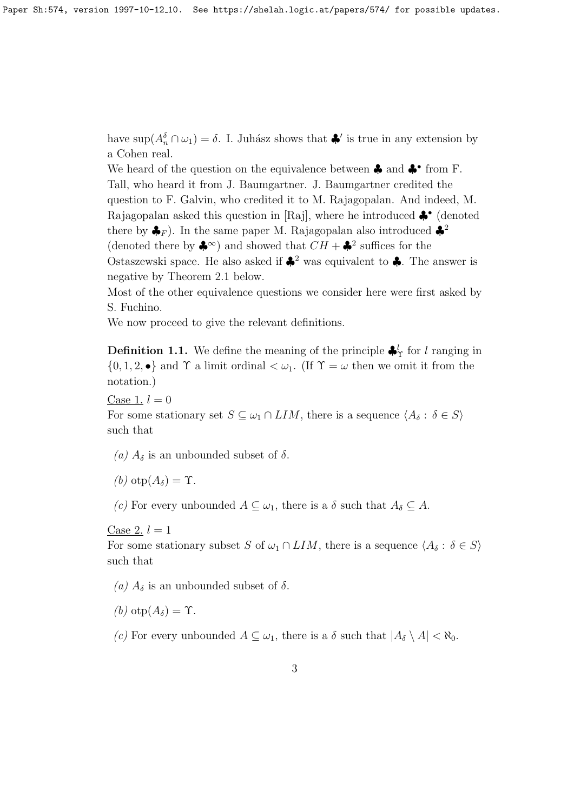have  $\sup(A_n^{\delta} \cap \omega_1) = \delta$ . I. Juhász shows that  $\clubsuit'$  is true in any extension by a Cohen real.

We heard of the question on the equivalence between ♣ and ♣• from F. Tall, who heard it from J. Baumgartner. J. Baumgartner credited the question to F. Galvin, who credited it to M. Rajagopalan. And indeed, M. Rajagopalan asked this question in [Raj], where he introduced ♣• (denoted there by  $\clubsuit_F$ ). In the same paper M. Rajagopalan also introduced  $\clubsuit^2$ (denoted there by  $\clubsuit^{\infty}$ ) and showed that  $CH + \clubsuit^2$  suffices for the Ostaszewski space. He also asked if  $\clubsuit^2$  was equivalent to  $\clubsuit$ . The answer is negative by Theorem 2.1 below.

Most of the other equivalence questions we consider here were first asked by S. Fuchino.

We now proceed to give the relevant definitions.

**Definition 1.1.** We define the meaning of the principle  $\clubsuit^l$  for l ranging in  $\{0, 1, 2, \bullet\}$  and  $\Upsilon$  a limit ordinal  $\lt \omega_1$ . (If  $\Upsilon = \omega$  then we omit it from the notation.)

Case 1.  $l = 0$ 

For some stationary set  $S \subseteq \omega_1 \cap LIM$ , there is a sequence  $\langle A_\delta : \delta \in S \rangle$ such that

- (a)  $A_{\delta}$  is an unbounded subset of  $\delta$ .
- (b)  $\text{otp}(A_{\delta}) = \Upsilon$ .

(c) For every unbounded  $A \subseteq \omega_1$ , there is a  $\delta$  such that  $A_{\delta} \subseteq A$ .

Case 2.  $l = 1$ 

For some stationary subset S of  $\omega_1 \cap LIM$ , there is a sequence  $\langle A_\delta : \delta \in S \rangle$ such that

(a)  $A_{\delta}$  is an unbounded subset of  $\delta$ .

(b)  $\text{otp}(A_{\delta}) = \Upsilon$ .

(c) For every unbounded  $A \subseteq \omega_1$ , there is a  $\delta$  such that  $|A_{\delta} \setminus A| < \aleph_0$ .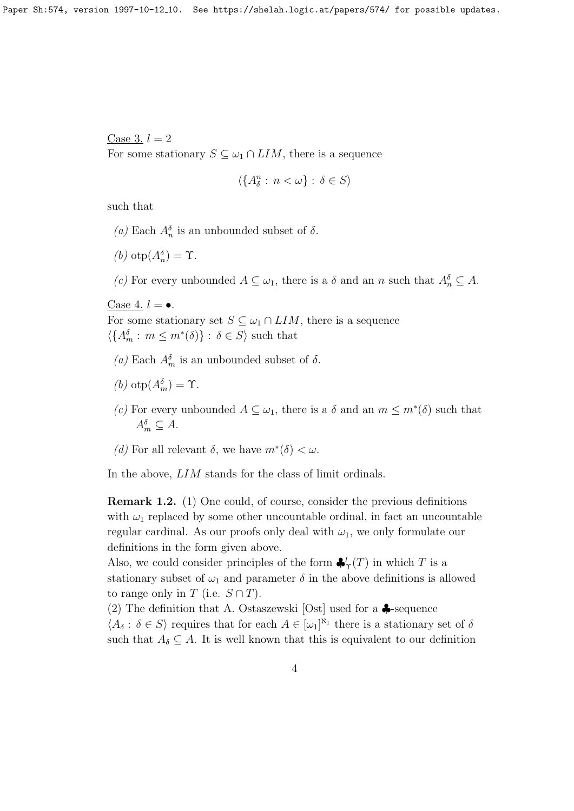Case 3.  $l = 2$ 

For some stationary  $S \subseteq \omega_1 \cap LIM$ , there is a sequence

$$
\langle \{A^n_\delta:\, n<\omega\}\, \colon \delta\in S\rangle
$$

such that

- (a) Each  $A_n^{\delta}$  is an unbounded subset of  $\delta$ .
- (b)  $otp(A_n^{\delta}) = \Upsilon$ .

(c) For every unbounded  $A \subseteq \omega_1$ , there is a  $\delta$  and an n such that  $A_n^{\delta} \subseteq A$ .

Case 4.  $l = \bullet$ .

For some stationary set  $S \subseteq \omega_1 \cap LIM$ , there is a sequence  $\langle \{A_m^{\delta} : m \leq m^*(\delta)\} : \delta \in S \rangle$  such that

- (a) Each  $A_m^{\delta}$  is an unbounded subset of  $\delta$ .
- (b)  $otp(A_m^{\delta}) = \Upsilon$ .
- (c) For every unbounded  $A \subseteq \omega_1$ , there is a  $\delta$  and an  $m \leq m^*(\delta)$  such that  $A_m^{\delta} \subseteq A$ .
- (d) For all relevant  $\delta$ , we have  $m^*(\delta) < \omega$ .

In the above, LIM stands for the class of limit ordinals.

Remark 1.2. (1) One could, of course, consider the previous definitions with  $\omega_1$  replaced by some other uncountable ordinal, in fact an uncountable regular cardinal. As our proofs only deal with  $\omega_1$ , we only formulate our definitions in the form given above.

Also, we could consider principles of the form  $\clubsuit'_{\Upsilon}(T)$  in which T is a stationary subset of  $\omega_1$  and parameter  $\delta$  in the above definitions is allowed to range only in T (i.e.  $S \cap T$ ).

(2) The definition that A. Ostaszewski [Ost] used for a  $\clubsuit$ -sequence  $\langle A_\delta : \delta \in S \rangle$  requires that for each  $A \in [\omega_1]^{\aleph_1}$  there is a stationary set of  $\delta$ such that  $A_{\delta} \subseteq A$ . It is well known that this is equivalent to our definition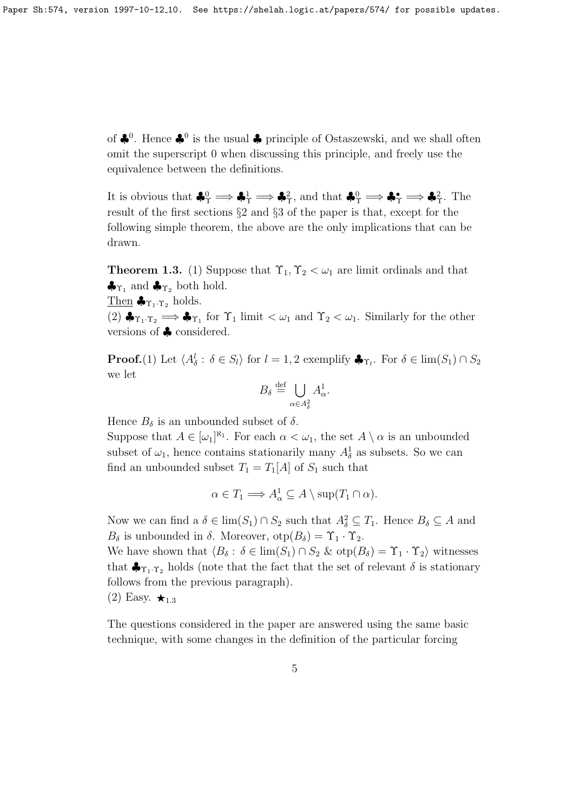of  $\clubsuit^0$ . Hence  $\clubsuit^0$  is the usual  $\clubsuit$  principle of Ostaszewski, and we shall often omit the superscript 0 when discussing this principle, and freely use the equivalence between the definitions.

It is obvious that  $\clubsuit^0_\Upsilon \Longrightarrow \clubsuit^1_\Upsilon \Longrightarrow \clubsuit^2_\Upsilon$ , and that  $\clubsuit^0_\Upsilon \Longrightarrow \clubsuit^{\bullet}_\Upsilon \Longrightarrow \clubsuit^2_\Upsilon$ . The result of the first sections §2 and §3 of the paper is that, except for the following simple theorem, the above are the only implications that can be drawn.

**Theorem 1.3.** (1) Suppose that  $\Upsilon_1, \Upsilon_2 < \omega_1$  are limit ordinals and that  $\clubsuit_{\Upsilon_1}$  and  $\clubsuit_{\Upsilon_2}$  both hold.

Then  $\clubsuit_{\Upsilon_1 \cdot \Upsilon_2}$  holds.

 $(2)$   $\clubsuit_{\Upsilon_1 \cdot \Upsilon_2} \Longrightarrow \clubsuit_{\Upsilon_1}$  for  $\Upsilon_1$  limit  $\lt \omega_1$  and  $\Upsilon_2 \lt \omega_1$ . Similarly for the other versions of ♣ considered.

**Proof.**(1) Let  $\langle A_{\delta}^l : \delta \in S_l \rangle$  for  $l = 1, 2$  exemplify  $\clubsuit_{\Upsilon_l}$ . For  $\delta \in \lim(S_1) \cap S_2$ we let

$$
B_{\delta}\stackrel{\mathrm{def}}{=}\bigcup_{\alpha\in A_{\delta}^2}A_{\alpha}^1.
$$

Hence  $B_{\delta}$  is an unbounded subset of  $\delta$ .

Suppose that  $A \in [\omega_1]^{\aleph_1}$ . For each  $\alpha < \omega_1$ , the set  $A \setminus \alpha$  is an unbounded subset of  $\omega_1$ , hence contains stationarily many  $A_{\delta}^1$  as subsets. So we can find an unbounded subset  $T_1 = T_1[A]$  of  $S_1$  such that

$$
\alpha \in T_1 \Longrightarrow A^1_\alpha \subseteq A \setminus \sup(T_1 \cap \alpha).
$$

Now we can find a  $\delta \in \lim(S_1) \cap S_2$  such that  $A_{\delta}^2 \subseteq T_1$ . Hence  $B_{\delta} \subseteq A$  and  $B_{\delta}$  is unbounded in  $\delta$ . Moreover,  $otp(B_{\delta}) = \Upsilon_1 \cdot \Upsilon_2$ .

We have shown that  $\langle B_\delta : \delta \in \text{lim}(S_1) \cap S_2 \& \text{otp}(B_\delta) = \Upsilon_1 \cdot \Upsilon_2 \rangle$  witnesses that  $\clubsuit_{\Upsilon_1,\Upsilon_2}$  holds (note that the fact that the set of relevant  $\delta$  is stationary follows from the previous paragraph).

 $(2)$  Easy.  $\star_{1.3}$ 

The questions considered in the paper are answered using the same basic technique, with some changes in the definition of the particular forcing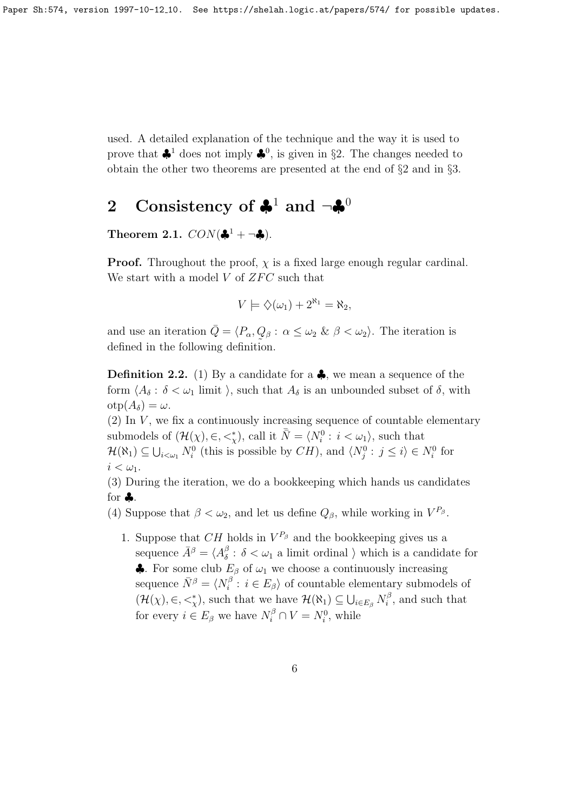used. A detailed explanation of the technique and the way it is used to prove that  $\clubsuit^1$  does not imply  $\clubsuit^0$ , is given in §2. The changes needed to obtain the other two theorems are presented at the end of §2 and in §3.

## 2 Consistency of  $\clubsuit^1$  and  $\neg \clubsuit^0$

Theorem 2.1.  $CON(\clubsuit^1 + \neg \clubsuit)$ .

**Proof.** Throughout the proof,  $\chi$  is a fixed large enough regular cardinal. We start with a model  $V$  of  $ZFC$  such that

$$
V \models \diamondsuit(\omega_1) + 2^{\aleph_1} = \aleph_2,
$$

and use an iteration  $\overline{Q} = \langle P_{\alpha}, Q_{\beta} : \alpha \leq \omega_2 \& \beta < \omega_2 \rangle$ . The iteration is defined in the following definition.

**Definition 2.2.** (1) By a candidate for a  $\clubsuit$ , we mean a sequence of the form  $\langle A_\delta : \delta < \omega_1 \text{ limit } \rangle$ , such that  $A_\delta$  is an unbounded subset of  $\delta$ , with  $otp(A_{\delta}) = \omega.$ 

(2) In  $V$ , we fix a continuously increasing sequence of countable elementary submodels of  $(\mathcal{H}(\chi), \in, \leq^*_{\chi})$ , call it  $\bar{\bar{N}} = \langle N_i^0 : i < \omega_1 \rangle$ , such that  $\mathcal{H}(\aleph_1) \subseteq \bigcup_{i \leq \omega_1} N_i^0$  (this is possible by  $CH$ ), and  $\langle N_j^0 : j \leq i \rangle \in N_i^0$  for  $i < \omega_1$ .

(3) During the iteration, we do a bookkeeping which hands us candidates for ♣.

(4) Suppose that  $\beta < \omega_2$ , and let us define  $Q_{\beta}$ , while working in  $V^{P_{\beta}}$ .

1. Suppose that  $CH$  holds in  $V^{P_\beta}$  and the bookkeeping gives us a sequence  $\bar{A}^{\beta} = \langle A^{\beta}_{\delta} \rangle$  $\delta$  :  $\delta < \omega_1$  a limit ordinal  $\rangle$  which is a candidate for • For some club  $E_\beta$  of  $\omega_1$  we choose a continuously increasing sequence  $\bar{N}^{\beta} = \langle N^{\beta}_i \rangle$  $i_i^{\beta}: i \in E_\beta$  of countable elementary submodels of  $(\mathcal{H}(\chi), \in, \leq^*_{\chi})$ , such that we have  $\mathcal{H}(\aleph_1) \subseteq \bigcup_{i \in E_{\beta}} N_i^{\beta}$  $i^{\beta}$ , and such that for every  $i \in E_\beta$  we have  $N_i^{\beta} \cap V = N_i^0$ , while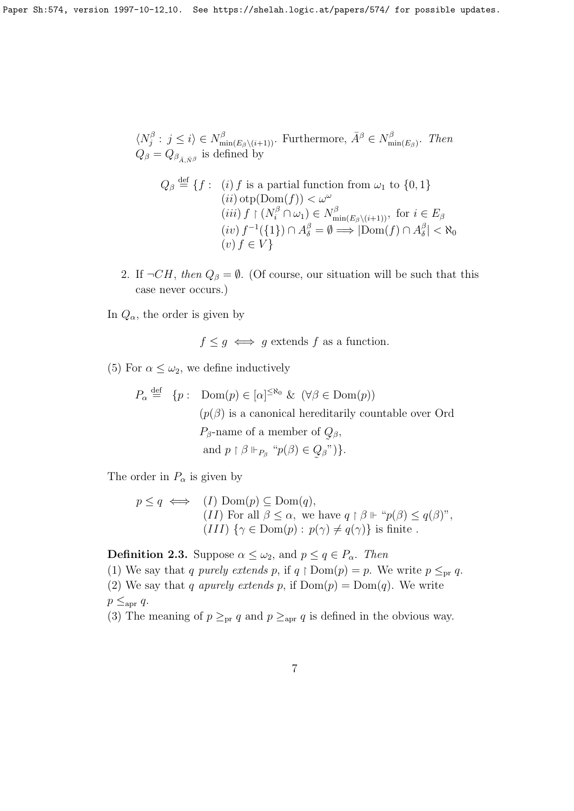$$
\langle N_j^{\beta} : j \le i \rangle \in N_{\min(E_{\beta} \setminus (i+1))}^{\beta}.
$$
 Furthermore,  $\bar{A}^{\beta} \in N_{\min(E_{\beta})}^{\beta}.$  Then  
 $Q_{\beta} = Q_{\beta_{\bar{A},\bar{N}}\beta}$  is defined by

$$
Q_{\beta} \stackrel{\text{def}}{=} \{f : (i) f \text{ is a partial function from } \omega_1 \text{ to } \{0, 1\}
$$
  
\n
$$
(ii) \operatorname{otp}(Dom(f)) < \omega^{\omega}
$$
  
\n
$$
(iii) f \upharpoonright (N_i^{\beta} \cap \omega_1) \in N_{\min(E_{\beta} \setminus (i+1))}^{\beta}, \text{ for } i \in E_{\beta}
$$
  
\n
$$
(iv) f^{-1}(\{1\}) \cap A_{\delta}^{\beta} = \emptyset \Longrightarrow |Dom(f) \cap A_{\delta}^{\beta}| < \aleph_0
$$
  
\n
$$
(v) f \in V\}
$$

2. If  $\neg CH$ , then  $Q_\beta = \emptyset$ . (Of course, our situation will be such that this case never occurs.)

In  $Q_{\alpha}$ , the order is given by

$$
f \leq g \iff g
$$
 extends f as a function.

- (5) For  $\alpha \leq \omega_2$ , we define inductively
	- $P_{\alpha} \stackrel{\text{def}}{=} \{p : \text{Dom}(p) \in [\alpha]^{\leq \aleph_0} \& (\forall \beta \in \text{Dom}(p))\}$  $(p(\beta))$  is a canonical hereditarily countable over Ord  $P_{\beta}$ -name of a member of  $Q_{\beta}$ , and  $p \restriction \beta \Vdash_{P_\beta} \text{``} p(\beta) \in Q_\beta$  $\tilde{\phantom{a}}$  $\beta$ ")}.

The order in  $P_\alpha$  is given by

$$
p \le q \iff (I) \text{ Dom}(p) \subseteq \text{Dom}(q),
$$
  
(II) For all  $\beta \le \alpha$ , we have  $q \upharpoonright \beta \Vdash \text{``}p(\beta) \le q(\beta)\text{''},$   
(III)  $\{\gamma \in \text{Dom}(p) : p(\gamma) \ne q(\gamma)\}$  is finite.

**Definition 2.3.** Suppose  $\alpha \leq \omega_2$ , and  $p \leq q \in P_\alpha$ . Then

(1) We say that q purely extends p, if  $q \restriction \text{Dom}(p) = p$ . We write  $p \leq_{pr} q$ . (2) We say that q apurely extends p, if  $Dom(p) = Dom(q)$ . We write  $p \leq_{\rm apr} q$ .

(3) The meaning of  $p \geq_{pr} q$  and  $p \geq_{apr} q$  is defined in the obvious way.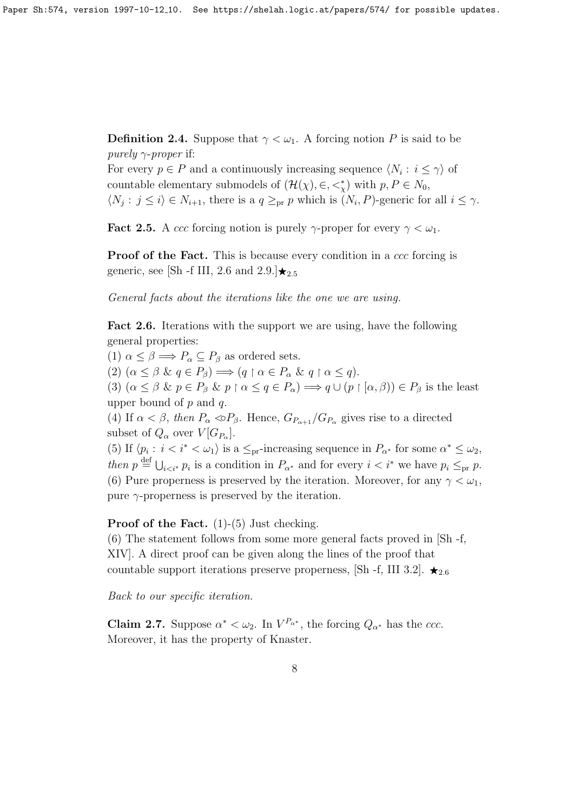**Definition 2.4.** Suppose that  $\gamma < \omega_1$ . A forcing notion P is said to be purely  $\gamma$ -proper if:

For every  $p \in P$  and a continuously increasing sequence  $\langle N_i : i \leq \gamma \rangle$  of countable elementary submodels of  $(\mathcal{H}(\chi), \in, \leq^*_{\chi})$  with  $p, P \in N_0$ ,  $\langle N_j : j \leq i \rangle \in N_{i+1}$ , there is a  $q \geq_{pr} p$  which is  $(N_i, P)$ -generic for all  $i \leq \gamma$ .

**Fact 2.5.** A ccc forcing notion is purely  $\gamma$ -proper for every  $\gamma < \omega_1$ .

**Proof of the Fact.** This is because every condition in a ccc forcing is generic, see [Sh -f III, 2.6 and  $2.9$ .] $\star_{2.5}$ 

General facts about the iterations like the one we are using.

Fact 2.6. Iterations with the support we are using, have the following general properties:

(1)  $\alpha \leq \beta \Longrightarrow P_{\alpha} \subseteq P_{\beta}$  as ordered sets.

(2)  $(\alpha \leq \beta \& q \in P_{\beta}) \Longrightarrow (q \upharpoonright \alpha \in P_{\alpha} \& q \upharpoonright \alpha \leq q).$ 

(3)  $(\alpha \leq \beta \& p \in P_{\beta} \& p \restriction \alpha \leq q \in P_{\alpha}) \Longrightarrow q \cup (p \restriction (\alpha, \beta)) \in P_{\beta}$  is the least upper bound of  $p$  and  $q$ .

(4) If  $\alpha < \beta$ , then  $P_{\alpha} < P_{\beta}$ . Hence,  $G_{P_{\alpha+1}}/G_{P_{\alpha}}$  gives rise to a directed subset of  $Q_{\alpha}$  over  $V[G_{P_{\alpha}}]$ .

(5) If  $\langle p_i : i < i^* < \omega_1 \rangle$  is a  $\leq_{\text{pr}}$ -increasing sequence in  $P_{\alpha^*}$  for some  $\alpha^* \leq \omega_2$ , then  $p \stackrel{\text{def}}{=} \bigcup_{i \leq i^*} p_i$  is a condition in  $P_{\alpha^*}$  and for every  $i \leq i^*$  we have  $p_i \leq_{\text{pr}} p$ . (6) Pure properness is preserved by the iteration. Moreover, for any  $\gamma < \omega_1$ , pure  $\gamma$ -properness is preserved by the iteration.

**Proof of the Fact.**  $(1)-(5)$  Just checking.

(6) The statement follows from some more general facts proved in [Sh -f, XIV]. A direct proof can be given along the lines of the proof that countable support iterations preserve properness, [Sh -f, III 3.2].  $\star_{2.6}$ 

Back to our specific iteration.

**Claim 2.7.** Suppose  $\alpha^* < \omega_2$ . In  $V^{P_{\alpha^*}}$ , the forcing  $Q_{\alpha^*}$  has the ccc. Moreover, it has the property of Knaster.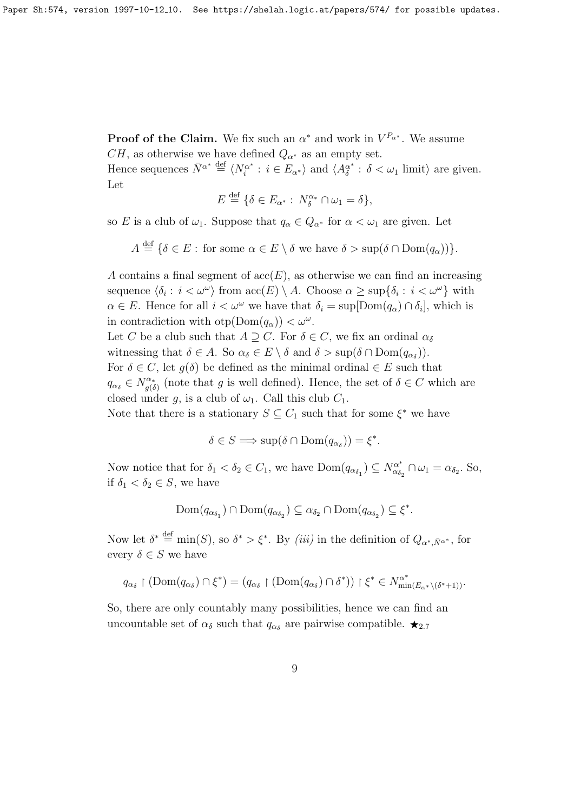**Proof of the Claim.** We fix such an  $\alpha^*$  and work in  $V^{P_{\alpha^*}}$ . We assume  $CH$ , as otherwise we have defined  $Q_{\alpha^*}$  as an empty set.

Hence sequences  $\bar{N}^{\alpha^*} \stackrel{\text{def}}{=} \langle N_i^{\alpha^*} \rangle$  $\zeta_i^{\alpha^*}: i \in E_{\alpha^*} \rangle$  and  $\langle A_{\delta}^{\alpha^*} \rangle$  $\delta^*$  :  $\delta < \omega_1$  limit) are given. Let

$$
E \stackrel{\text{def}}{=} \{ \delta \in E_{\alpha^*} : N_{\delta}^{\alpha^*} \cap \omega_1 = \delta \},
$$

so E is a club of  $\omega_1$ . Suppose that  $q_\alpha \in Q_{\alpha^*}$  for  $\alpha < \omega_1$  are given. Let

 $A \stackrel{\text{def}}{=} \{ \delta \in E : \text{ for some } \alpha \in E \setminus \delta \text{ we have } \delta > \sup(\delta \cap \text{Dom}(q_{\alpha})) \}.$ 

A contains a final segment of  $\operatorname{acc}(E)$ , as otherwise we can find an increasing sequence  $\langle \delta_i : i < \omega^\omega \rangle$  from  $\mathrm{acc}(E) \setminus A$ . Choose  $\alpha \geq \sup{\{\delta_i : i < \omega^\omega\}}$  with  $\alpha \in E$ . Hence for all  $i < \omega^{\omega}$  we have that  $\delta_i = \sup[{\rm Dom}(q_{\alpha}) \cap \delta_i],$  which is in contradiction with  $otp(Dom(q_{\alpha})) < \omega^{\omega}$ . Let C be a club such that  $A \supseteq C$ . For  $\delta \in C$ , we fix an ordinal  $\alpha_{\delta}$ witnessing that  $\delta \in A$ . So  $\alpha_{\delta} \in E \setminus \delta$  and  $\delta > \sup(\delta \cap \text{Dom}(q_{\alpha_{\delta}})).$ For  $\delta \in C$ , let  $g(\delta)$  be defined as the minimal ordinal  $\in E$  such that  $q_{\alpha_{\delta}} \in N_{q(\delta)}^{\alpha_{*}}$  $\sigma_{g(\delta)}^{\alpha_*}$  (note that g is well defined). Hence, the set of  $\delta \in C$  which are closed under g, is a club of  $\omega_1$ . Call this club  $C_1$ .

Note that there is a stationary  $S \subseteq C_1$  such that for some  $\xi^*$  we have

 $\delta \in S \Longrightarrow \text{sup}(\delta \cap \text{Dom}(q_{\alpha_{\delta}})) = \xi^*$ .

Now notice that for  $\delta_1 < \delta_2 \in C_1$ , we have  $Dom(q_{\alpha_{\delta_1}}) \subseteq N_{\alpha_{\delta_2}}^{\alpha^*}$  $\alpha_{\delta_2}^* \cap \omega_1 = \alpha_{\delta_2}$ . So, if  $\delta_1 < \delta_2 \in S$ , we have

$$
\text{Dom}(q_{\alpha_{\delta_1}}) \cap \text{Dom}(q_{\alpha_{\delta_2}}) \subseteq \alpha_{\delta_2} \cap \text{Dom}(q_{\alpha_{\delta_2}}) \subseteq \xi^*.
$$

Now let  $\delta^* \triangleq \min(S)$ , so  $\delta^* > \xi^*$ . By *(iii)* in the definition of  $Q_{\alpha^*, \bar{N}^{\alpha^*}}$ , for every  $\delta \in S$  we have

$$
q_{\alpha_{\delta}} \restriction (\mathrm{Dom}(q_{\alpha_{\delta}}) \cap \xi^*) = (q_{\alpha_{\delta}} \restriction (\mathrm{Dom}(q_{\alpha_{\delta}}) \cap \delta^*)) \restriction \xi^* \in N^{\alpha^*}_{\min(E_{\alpha^*} \setminus (\delta^* + 1))}.
$$

So, there are only countably many possibilities, hence we can find an uncountable set of  $\alpha_{\delta}$  such that  $q_{\alpha_{\delta}}$  are pairwise compatible.  $\star_{2.7}$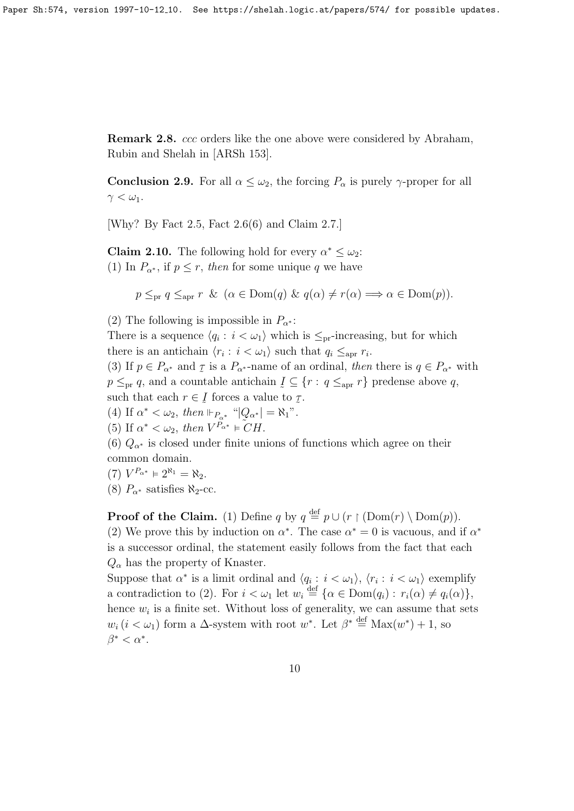Remark 2.8. ccc orders like the one above were considered by Abraham, Rubin and Shelah in [ARSh 153].

**Conclusion 2.9.** For all  $\alpha \leq \omega_2$ , the forcing  $P_\alpha$  is purely  $\gamma$ -proper for all  $\gamma < \omega_1$ .

[Why? By Fact 2.5, Fact 2.6(6) and Claim 2.7.]

**Claim 2.10.** The following hold for every  $\alpha^* \leq \omega_2$ : (1) In  $P_{\alpha^*}$ , if  $p \leq r$ , then for some unique q we have

 $p \leq_{\text{pr}} q \leq_{\text{apr}} r \& (\alpha \in \text{Dom}(q) \& q(\alpha) \neq r(\alpha) \Longrightarrow \alpha \in \text{Dom}(p)).$ 

(2) The following is impossible in  $P_{\alpha^*}$ :

There is a sequence  $\langle q_i : i < \omega_1 \rangle$  which is  $\leq_{\text{pr}}$ -increasing, but for which there is an antichain  $\langle r_i : i < \omega_1 \rangle$  such that  $q_i \leq_{\text{apr}} r_i$ .

(3) If  $p \in P_{\alpha^*}$  and  $\tau$  is a  $P_{\alpha^{*}}$ -name of an ordinal, then there is  $q \in P_{\alpha^*}$  with  $p \leq_{\text{pr}} q$ , and a countable antichain  $\underline{I} \subseteq \{r : q \leq_{\text{apr}} r\}$  predense above q, such that each  $r \in I$  forces a value to  $\tau$ .

(4) If  $\alpha^* < \omega_2$ , then  $\Vdash_{P_{\alpha^*}} "\vert Q_{\alpha^*}\vert = \aleph_1"$ .

(5) If  $\alpha^* < \omega_2$ , then  $V^{P_{\alpha^*}} \models \widetilde{C}H$ .

(6)  $Q_{\alpha^*}$  is closed under finite unions of functions which agree on their common domain.

(7) 
$$
V^{P_{\alpha^*}} \models 2^{\aleph_1} = \aleph_2.
$$

(8)  $P_{\alpha^*}$  satisfies  $\aleph_2$ -cc.

**Proof of the Claim.** (1) Define q by  $q \stackrel{\text{def}}{=} p \cup (r \restriction (\text{Dom}(r) \setminus \text{Dom}(p)).$ (2) We prove this by induction on  $\alpha^*$ . The case  $\alpha^* = 0$  is vacuous, and if  $\alpha^*$ is a successor ordinal, the statement easily follows from the fact that each  $Q_{\alpha}$  has the property of Knaster.

Suppose that  $\alpha^*$  is a limit ordinal and  $\langle q_i : i < \omega_1 \rangle$ ,  $\langle r_i : i < \omega_1 \rangle$  exemplify a contradiction to (2). For  $i < \omega_1$  let  $w_i \stackrel{\text{def}}{=} {\alpha \in \text{Dom}(q_i) : r_i(\alpha) \neq q_i(\alpha)}$ , hence  $w_i$  is a finite set. Without loss of generality, we can assume that sets  $w_i$  ( $i < \omega_1$ ) form a  $\Delta$ -system with root  $w^*$ . Let  $\beta^* \stackrel{\text{def}}{=} \text{Max}(w^*) + 1$ , so  $\beta^* < \alpha^*$ .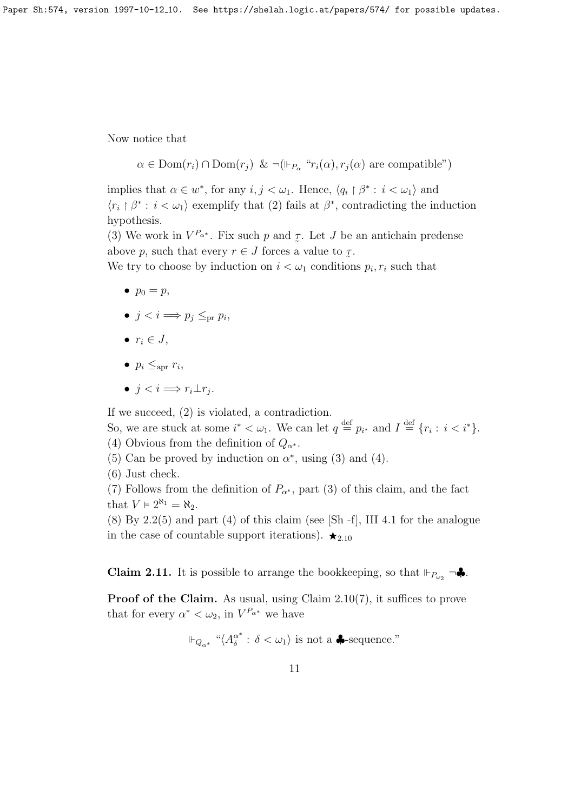Now notice that

$$
\alpha \in \text{Dom}(r_i) \cap \text{Dom}(r_j)
$$
 &  $\neg(\Vdash_{P_\alpha} "r_i(\alpha), r_j(\alpha))$  are compatible")

implies that  $\alpha \in w^*$ , for any  $i, j < \omega_1$ . Hence,  $\langle q_i \upharpoonright \beta^* : i < \omega_1 \rangle$  and  $\langle r_i \mid \beta^* : i < \omega_1 \rangle$  exemplify that (2) fails at  $\beta^*$ , contradicting the induction hypothesis.

(3) We work in  $V^{P_{\alpha^*}}$ . Fix such p and  $\tau$ . Let J be an antichain predense above p, such that every  $r \in J$  forces a value to  $\tau$ .

We try to choose by induction on  $i < \omega_1$  conditions  $p_i, r_i$  such that

- $\bullet$   $p_0 = p$ ,
- $j < i \Longrightarrow p_j \leq_{\text{pr}} p_i$
- $r_i \in J$ ,
- $p_i \leq_{\text{apr}} r_i$
- $j < i \Longrightarrow r_i \perp r_j$ .

If we succeed, (2) is violated, a contradiction.

So, we are stuck at some  $i^* < \omega_1$ . We can let  $q \stackrel{\text{def}}{=} p_{i^*}$  and  $I \stackrel{\text{def}}{=} \{r_i : i < i^*\}$ . (4) Obvious from the definition of  $Q_{\alpha^*}$ .

- (5) Can be proved by induction on  $\alpha^*$ , using (3) and (4).
- (6) Just check.

(7) Follows from the definition of  $P_{\alpha^*}$ , part (3) of this claim, and the fact that  $V \models 2^{\aleph_1} = \aleph_2$ .

 $(8)$  By 2.2 $(5)$  and part  $(4)$  of this claim (see [Sh -f], III 4.1 for the analogue in the case of countable support iterations).  $\star_{2.10}$ 

**Claim 2.11.** It is possible to arrange the bookkeeping, so that  $\Vdash_{P_{\omega_2}} \neg \clubsuit$ .

Proof of the Claim. As usual, using Claim 2.10(7), it suffices to prove that for every  $\alpha^* < \omega_2$ , in  $V^{P_{\alpha^*}}$  we have

$$
\Vdash_{Q_{\alpha^*}} \text{``}\langle A_{\delta}^{\alpha^*}:\, \delta<\omega_1 \rangle
$$
 is not a  $\clubsuit$ -sequence."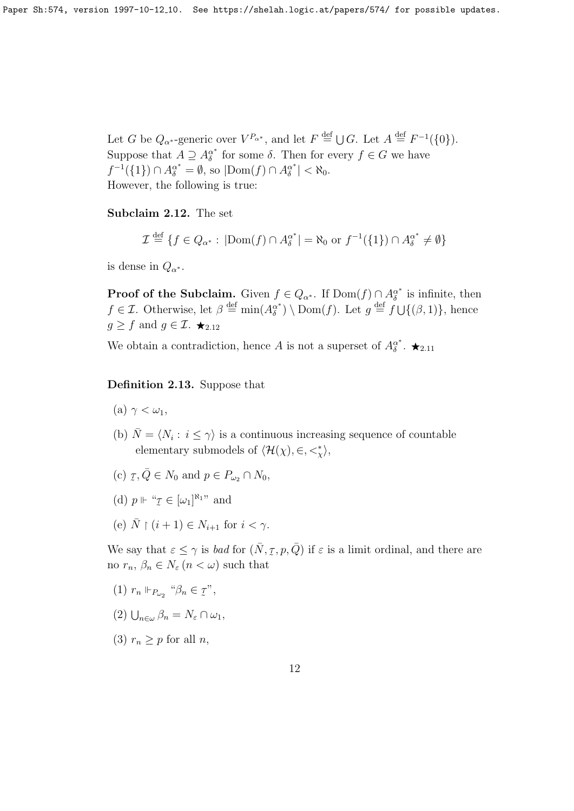Let G be  $Q_{\alpha^*}$ -generic over  $V^{P_{\alpha^*}}$ , and let  $F \stackrel{\text{def}}{=} \bigcup G$ . Let  $A \stackrel{\text{def}}{=} F^{-1}(\{0\})$ . Suppose that  $A \supseteq A_{\delta}^{\alpha^*}$  $\alpha^*$  for some  $\delta$ . Then for every  $f \in G$  we have  $f^{-1}(\lbrace 1 \rbrace) \cap A_{\delta}^{\alpha^*} = \emptyset$ , so  $|\text{Dom}(f) \cap A_{\delta}^{\alpha^*}|$  $\left|\frac{\alpha^*}{\delta}\right| < \aleph_0.$ However, the following is true:

Subclaim 2.12. The set

$$
\mathcal{I} \stackrel{\text{def}}{=} \{ f \in Q_{\alpha^*} : |\text{Dom}(f) \cap A_{\delta}^{\alpha^*}| = \aleph_0 \text{ or } f^{-1}(\{1\}) \cap A_{\delta}^{\alpha^*} \neq \emptyset \}
$$

is dense in  $Q_{\alpha^*}$ .

**Proof of the Subclaim.** Given  $f \in Q_{\alpha^*}$ . If  $Dom(f) \cap A_{\delta}^{\alpha^*}$  $\delta^*$  is infinite, then  $f \in \mathcal{I}$ . Otherwise, let  $\beta \stackrel{\text{def}}{=} \min(A_{\delta}^{\alpha^*})$  $\mathcal{L}_{\delta}^{\alpha^*}$  \ Dom(*f*). Let  $g \stackrel{\text{def}}{=} f \cup \{(\beta, 1)\}\text{, hence}$  $g \geq f$  and  $g \in \mathcal{I}$ .  $\star_{2.12}$ 

We obtain a contradiction, hence A is not a superset of  $A_{\delta}^{\alpha^*}$  $\stackrel{\alpha^*}{\delta}$ .  $\bigstar_{2.11}$ 

Definition 2.13. Suppose that

- (a)  $\gamma < \omega_1$ ,
- (b)  $\overline{N} = \langle N_i : i \leq \gamma \rangle$  is a continuous increasing sequence of countable elementary submodels of  $\langle \mathcal{H}(\chi), \in, <^*_{\chi} \rangle$ ,
- (c)  $\tau$  $\tau, \overline{Q} \in N_0$  and  $p \in P_{\omega_2} \cap N_0$ ,
- (d)  $p \Vdash " \mathcal{I}$  $\ddot{\phantom{1}}$  $\in [\omega_1]^{\aleph_1}$ " and
- (e)  $\overline{N} \restriction (i + 1) \in N_{i+1}$  for  $i < \gamma$ .

We say that  $\varepsilon \leq \gamma$  is *bad* for  $(\bar{N}, \tau)$ ˜  $(p, \overline{Q})$  if  $\varepsilon$  is a limit ordinal, and there are no  $r_n, \beta_n \in N_{\varepsilon}$   $(n < \omega)$  such that

- (1)  $r_n \Vdash_{P_{\omega_2}}$  " $\beta_n \in \mathcal{I}$  $\tilde{a}$ ",
- (2)  $\bigcup_{n\in\omega}\beta_n=N_{\varepsilon}\cap\omega_1,$
- (3)  $r_n \geq p$  for all *n*,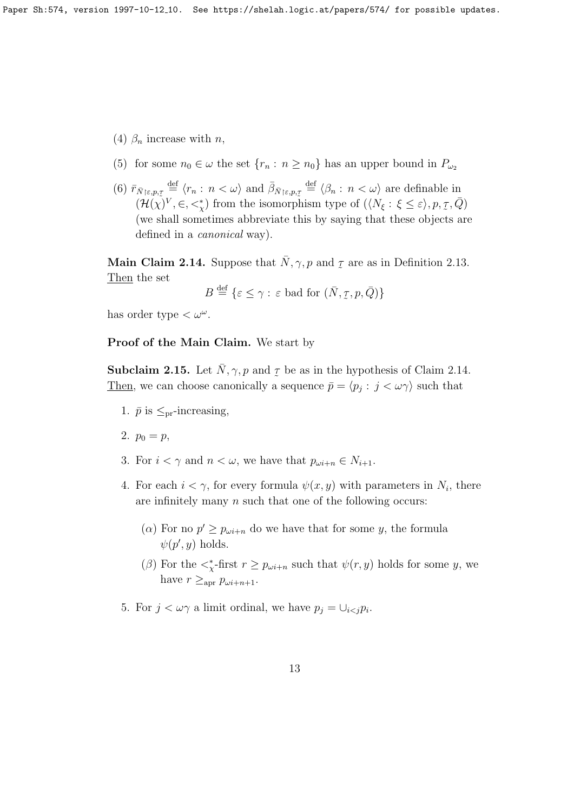- (4)  $\beta_n$  increase with *n*,
- (5) for some  $n_0 \in \omega$  the set  $\{r_n : n \ge n_0\}$  has an upper bound in  $P_{\omega_2}$
- (6)  $\bar{r}_{\bar{N}|\varepsilon,p,\tau} \stackrel{\text{def}}{=} \langle r_n : n < \omega \rangle$  and  $\bar{\beta}_{\bar{N}|\varepsilon,p,\tau} \stackrel{\text{def}}{=} \langle \beta_n : n < \omega \rangle$  are definable in  $(\mathcal{H}(\chi)^V, \in, \lt^*_{\chi})$  from the isomorphism type of  $(\langle N_{\xi} : \xi \leq \varepsilon \rangle, p, \xi)$ ∻<br>په  $\bar{Q})$ (we shall sometimes abbreviate this by saying that these objects are defined in a *canonical* way).

**Main Claim 2.14.** Suppose that  $\bar{N}, \gamma, p$  and  $\tau$  $\ddot{\tau}$ are as in Definition 2.13. Then the set

$$
B \stackrel{\text{def}}{=} \{ \varepsilon \le \gamma : \varepsilon \text{ bad for } (\bar{N}, \tau, p, \bar{Q}) \}
$$

has order type  $<\omega^{\omega}$ .

#### Proof of the Main Claim. We start by

**Subclaim 2.15.** Let  $\bar{N}$ ,  $\gamma$ ,  $p$  and  $q$  be as in the hypothesis of Claim 2.14. Then, we can choose canonically a sequence  $\bar{p} = \langle p_j : j < \omega \gamma \rangle$  such that

- 1.  $\bar{p}$  is  $\leq_{\text{pr}}$ -increasing,
- 2.  $p_0 = p$ ,
- 3. For  $i < \gamma$  and  $n < \omega$ , we have that  $p_{\omega i+n} \in N_{i+1}$ .
- 4. For each  $i < \gamma$ , for every formula  $\psi(x, y)$  with parameters in  $N_i$ , there are infinitely many  $n$  such that one of the following occurs:
	- ( $\alpha$ ) For no  $p' \geq p_{\omega i+n}$  do we have that for some y, the formula  $\psi(p', y)$  holds.
	- ( $\beta$ ) For the  $\lt^*_{\chi}$ -first  $r \geq p_{\omega i+n}$  such that  $\psi(r, y)$  holds for some y, we have  $r \geq_{\rm apr} p_{\omega i+n+1}$ .
- 5. For  $j < \omega \gamma$  a limit ordinal, we have  $p_j = \bigcup_{i < j} p_i$ .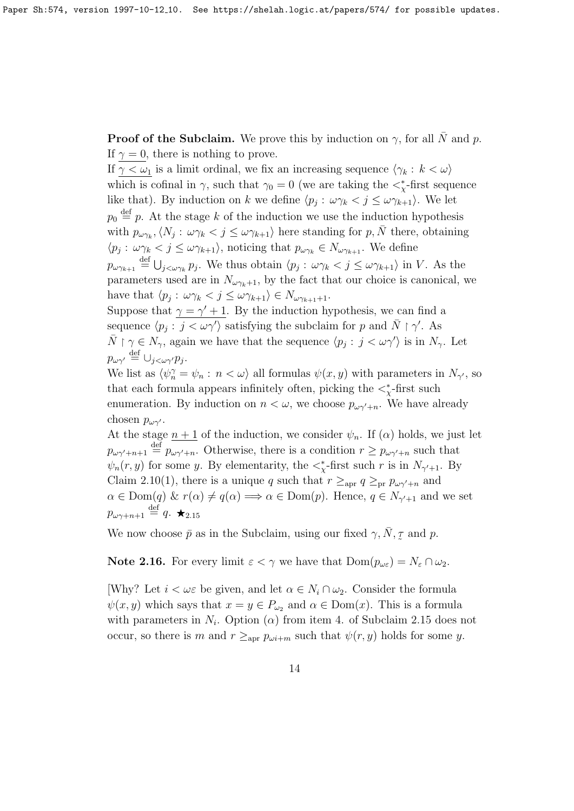**Proof of the Subclaim.** We prove this by induction on  $\gamma$ , for all  $\overline{N}$  and p. If  $\gamma = 0$ , there is nothing to prove.

If  $\gamma < \omega_1$  is a limit ordinal, we fix an increasing sequence  $\langle \gamma_k : k < \omega \rangle$ which is cofinal in  $\gamma$ , such that  $\gamma_0 = 0$  (we are taking the  $\langle \xi \rangle$ -first sequence like that). By induction on k we define  $\langle p_j : \omega \gamma_k < j \leq \omega \gamma_{k+1} \rangle$ . We let  $p_0 \stackrel{\text{def}}{=} p$ . At the stage k of the induction we use the induction hypothesis with  $p_{\omega\gamma_k}, \langle N_j: \omega\gamma_k < j \leq \omega\gamma_{k+1}$  here standing for p,  $\bar{N}$  there, obtaining  $\langle p_j : \omega \gamma_k < j \leq \omega \gamma_{k+1} \rangle$ , noticing that  $p_{\omega \gamma_k} \in N_{\omega \gamma_{k+1}}$ . We define  $p_{\omega\gamma_{k+1}} \stackrel{\text{def}}{=} \bigcup_{j<\omega\gamma_k} p_j$ . We thus obtain  $\langle p_j : \omega\gamma_k < j \leq \omega\gamma_{k+1} \rangle$  in V. As the parameters used are in  $N_{\omega\gamma_k+1}$ , by the fact that our choice is canonical, we have that  $\langle p_j : \omega \gamma_k < j \leq \omega \gamma_{k+1} \rangle \in N_{\omega \gamma_{k+1}+1}$ . Suppose that  $\gamma = \gamma' + 1$ . By the induction hypothesis, we can find a

sequence  $\langle p_j : j \langle \omega \gamma' \rangle$  satisfying the subclaim for p and  $\bar{N} \restriction \gamma'$ . As  $\bar{N} \restriction \gamma \in N_{\gamma}$ , again we have that the sequence  $\langle p_j : j < \omega \gamma' \rangle$  is in  $N_{\gamma}$ . Let  $p_{\omega\gamma'} \stackrel{\text{def}}{=} \cup_{j<\omega\gamma'} p_j.$ 

We list as  $\langle \psi_n^{\gamma} = \psi_n : n < \omega \rangle$  all formulas  $\psi(x, y)$  with parameters in  $N_{\gamma'}$ , so that each formula appears infinitely often, picking the  $\lt^*_x$ -first such enumeration. By induction on  $n < \omega$ , we choose  $p_{\omega \gamma+n}$ . We have already chosen  $p_{\omega \gamma'}$ .

At the stage  $n + 1$  of the induction, we consider  $\psi_n$ . If  $(\alpha)$  holds, we just let  $p_{\omega\gamma'+n+1} \stackrel{\text{def}}{=} p_{\omega\gamma'+n}$ . Otherwise, there is a condition  $r \ge p_{\omega\gamma'+n}$  such that  $\psi_n(r, y)$  for some y. By elementarity, the  $\lt^*_{\chi}$ -first such r is in  $N_{\gamma'+1}$ . By Claim 2.10(1), there is a unique q such that  $r \geq_{\text{apr}} q \geq_{\text{pr}} p_{\omega \gamma' + n}$  and  $\alpha \in \text{Dom}(q) \& r(\alpha) \neq q(\alpha) \Longrightarrow \alpha \in \text{Dom}(p)$ . Hence,  $q \in N_{\gamma'+1}$  and we set  $p_{\omega\gamma+n+1}\stackrel{\rm def}{=} q.$   $\bigstar_{2.15}$ 

We now choose  $\bar{p}$  as in the Subclaim, using our fixed  $\gamma$ ,  $\bar{N}$ ,  $\bar{p}$  $\ddot{\phantom{1}}$ and p.

**Note 2.16.** For every limit  $\varepsilon < \gamma$  we have that  $Dom(p_{\omega \varepsilon}) = N_{\varepsilon} \cap \omega_2$ .

[Why? Let  $i < \omega \varepsilon$  be given, and let  $\alpha \in N_i \cap \omega_2$ . Consider the formula  $\psi(x, y)$  which says that  $x = y \in P_{\omega_2}$  and  $\alpha \in \text{Dom}(x)$ . This is a formula with parameters in  $N_i$ . Option ( $\alpha$ ) from item 4. of Subclaim 2.15 does not occur, so there is m and  $r \geq_{\text{apr}} p_{\omega i+m}$  such that  $\psi(r, y)$  holds for some y.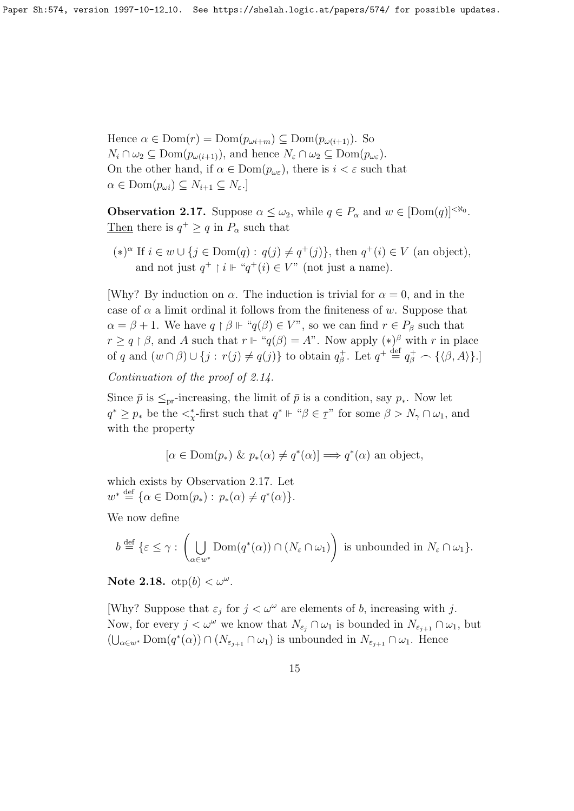Hence  $\alpha \in \text{Dom}(r) = \text{Dom}(p_{\omega i+m}) \subseteq \text{Dom}(p_{\omega(i+1)})$ . So  $N_i \cap \omega_2 \subseteq \text{Dom}(p_{\omega(i+1)})$ , and hence  $N_{\varepsilon} \cap \omega_2 \subseteq \text{Dom}(p_{\omega_{\varepsilon}})$ . On the other hand, if  $\alpha \in \text{Dom}(p_{\omega \varepsilon})$ , there is  $i < \varepsilon$  such that  $\alpha \in \text{Dom}(p_{\omega i}) \subseteq N_{i+1} \subseteq N_{\varepsilon}.$ 

**Observation 2.17.** Suppose  $\alpha \leq \omega_2$ , while  $q \in P_\alpha$  and  $w \in [\text{Dom}(q)]^{<\aleph_0}$ . Then there is  $q^+ \ge q$  in  $P_\alpha$  such that

 $(*)^{\alpha}$  If  $i \in w \cup \{j \in Dom(q) : q(j) \neq q^+(j)\}\$ , then  $q^+(i) \in V$  (an object), and not just  $q^+ \upharpoonright i \Vdash "q^+(i) \in V"$  (not just a name).

[Why? By induction on  $\alpha$ . The induction is trivial for  $\alpha = 0$ , and in the case of  $\alpha$  a limit ordinal it follows from the finiteness of w. Suppose that  $\alpha = \beta + 1$ . We have  $q \restriction \beta \Vdash "q(\beta) \in V"$ , so we can find  $r \in P_\beta$  such that  $r \geq q \restriction \beta$ , and A such that  $r \Vdash "q(\beta) = A$ ". Now apply  $(*)^{\beta}$  with r in place of q and  $(w \cap \beta) \cup \{j : r(j) \neq q(j)\}\$ to obtain  $q_{\beta}^+$ . Let  $q^+ \stackrel{\text{def}}{=} q_{\beta}^+ \frown \{\langle \beta, A \rangle\}\.$ 

Continuation of the proof of 2.14.

Since  $\bar{p}$  is  $\leq_{\text{pr}}$ -increasing, the limit of  $\bar{p}$  is a condition, say  $p_*$ . Now let  $q^* \geq p_*$  be the  $\lt^*_{\chi}$ -first such that  $q^* \Vdash ``\beta \in \chi$  $\ddot{\phantom{1}}$ " for some  $\beta > N_{\gamma} \cap \omega_1$ , and with the property

 $[\alpha \in \text{Dom}(p_*) \& p_*(\alpha) \neq q^*(\alpha)] \Longrightarrow q^*(\alpha)$  an object,

which exists by Observation 2.17. Let  $w^* \stackrel{\text{def}}{=} \{ \alpha \in \text{Dom}(p_*) : p_*(\alpha) \neq q^*(\alpha) \}.$ 

We now define

$$
b \stackrel{\text{def}}{=} \{ \varepsilon \leq \gamma : \left( \bigcup_{\alpha \in w^*} \text{Dom}(q^*(\alpha)) \cap (N_{\varepsilon} \cap \omega_1) \right) \text{ is unbounded in } N_{\varepsilon} \cap \omega_1 \}.
$$

Note 2.18.  $otp(b) < \omega^{\omega}$ .

[Why? Suppose that  $\varepsilon_j$  for  $j < \omega^\omega$  are elements of b, increasing with j. Now, for every  $j < \omega^{\omega}$  we know that  $N_{\varepsilon_j} \cap \omega_1$  is bounded in  $N_{\varepsilon_{j+1}} \cap \omega_1$ , but  $(\bigcup_{\alpha\in w^*}\text{Dom}(q^*(\alpha))\cap (N_{\varepsilon_{j+1}}\cap\omega_1)$  is unbounded in  $N_{\varepsilon_{j+1}}\cap\omega_1$ . Hence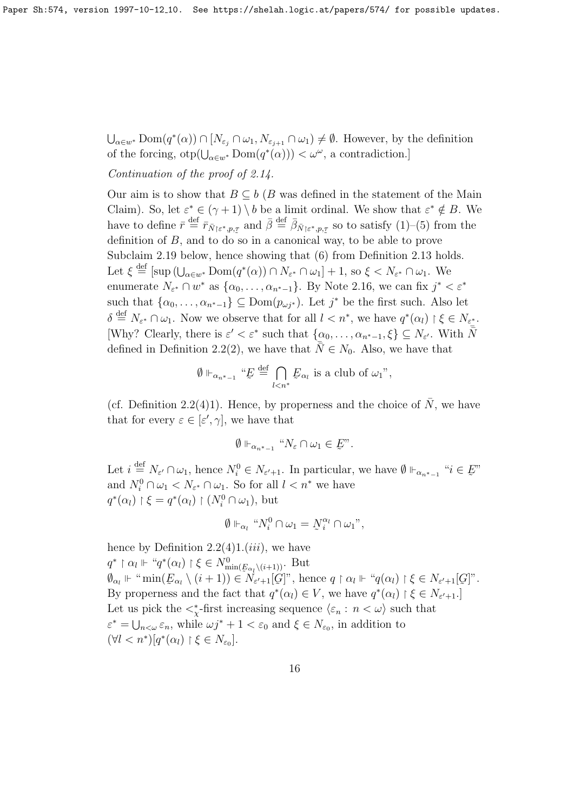$\bigcup_{\alpha\in w^*}\text{Dom}(q^*(\alpha))\cap [N_{\varepsilon_j}\cap\omega_1,N_{\varepsilon_{j+1}}\cap\omega_1)\neq\emptyset$ . However, by the definition of the forcing,  $otp(\bigcup_{\alpha\in w^*}Dom(q^*(\alpha))) < \omega^{\omega}$ , a contradiction.]

#### Continuation of the proof of 2.14.

Our aim is to show that  $B \subseteq b$  (B was defined in the statement of the Main Claim). So, let  $\varepsilon^* \in (\gamma + 1) \setminus b$  be a limit ordinal. We show that  $\varepsilon^* \notin B$ . We have to define  $\bar{r} \stackrel{\text{def}}{=} \bar{r}_{\bar{N}|\varepsilon^*,p,\tau}$  and  $\bar{\beta} \stackrel{\text{def}}{=} \bar{\beta}_{\bar{N}|\varepsilon^*,p,\tau}$  so to satisfy  $(1)$ – $(5)$  from the definition of  $B$ , and to do so in a canonical way, to be able to prove Subclaim 2.19 below, hence showing that (6) from Definition 2.13 holds. Let  $\xi \stackrel{\text{def}}{=} [\sup_{\alpha \in w^*} \text{Dom}(q^*(\alpha)) \cap N_{\varepsilon^*} \cap \omega_1] + 1$ , so  $\xi < N_{\varepsilon^*} \cap \omega_1$ . We enumerate  $N_{\varepsilon^*} \cap w^*$  as  $\{\alpha_0, \ldots, \alpha_{n^*-1}\}$ . By Note 2.16, we can fix  $j^* < \varepsilon^*$ such that  $\{\alpha_0, \ldots, \alpha_{n^*-1}\}\subseteq \text{Dom}(p_{\omega j^*})$ . Let  $j^*$  be the first such. Also let  $\delta \stackrel{\text{def}}{=} N_{\varepsilon^*} \cap \omega_1$ . Now we observe that for all  $l < n^*$ , we have  $q^*(\alpha_l) \restriction \xi \in N_{\varepsilon^*}$ . [Why? Clearly, there is  $\varepsilon' < \varepsilon^*$  such that  $\{\alpha_0, \ldots, \alpha_{n^*-1}, \xi\} \subseteq N_{\varepsilon'}$ . With  $\overline{\overline{N}}$ defined in Definition 2.2(2), we have that  $\overline{N} \in N_0$ . Also, we have that

$$
\emptyset \Vdash_{\alpha_{n^{*}-1}} "E \stackrel{\text{def}}{=} \bigcap_{l
$$

(cf. Definition 2.2(4)1). Hence, by properness and the choice of  $\bar{N}$ , we have that for every  $\varepsilon \in [\varepsilon', \gamma]$ , we have that

$$
\emptyset \Vdash_{\alpha_{n^*-1}} "N_{\varepsilon} \cap \omega_1 \in E".
$$

Let  $i \stackrel{\text{def}}{=} N_{\varepsilon'} \cap \omega_1$ , hence  $N_i^0 \in N_{\varepsilon'+1}$ . In particular, we have  $\emptyset \Vdash_{\alpha_{n^*-1}} "i \in E$  $\tilde{\phantom{a}}$ " and  $N_i^0 \cap \omega_1 < N_{\varepsilon^*} \cap \omega_1$ . So for all  $l < n^*$  we have  $q^*(\alpha_l) \restriction \xi = q^*(\alpha_l) \restriction (N_i^0 \cap \omega_1)$ , but

$$
\emptyset \Vdash_{\alpha_l} "N_i^0 \cap \omega_1 = N_i^{\alpha_l} \cap \omega_1",
$$

hence by Definition  $2.2(4)1.(iii)$ , we have  $q^* \restriction \alpha_l \Vdash \text{``} q^*(\alpha_l) \restriction \xi \in N^0_{\min(\underline{F}_{\alpha_l} \setminus (i+1))}.$  But  $\emptyset_{\alpha_l} \Vdash \text{``min}(\underline{E}_{\alpha_l} \setminus (i+1)) \in N_{\varepsilon'+1}[\mathcal{G}]$ ", hence  $q \restriction \alpha_l \Vdash \text{``}q(\alpha_l) \restriction \xi \in N_{\varepsilon'+1}[\mathcal{G}]$ ". By properness and the fact that  $q^*(\alpha_l) \in V$ , we have  $q^*(\alpha_l) \upharpoonright \xi \in N_{\varepsilon'+1}$ . Let us pick the  $\langle \xi_n : n \rangle \langle \xi_n : n \rangle$  such that  $\varepsilon^* = \bigcup_{n < \omega} \varepsilon_n$ , while  $\omega j^* + 1 < \varepsilon_0$  and  $\xi \in N_{\varepsilon_0}$ , in addition to  $(\forall l < n^*)[q^*(\alpha_l) \restriction \xi \in N_{\varepsilon_0}].$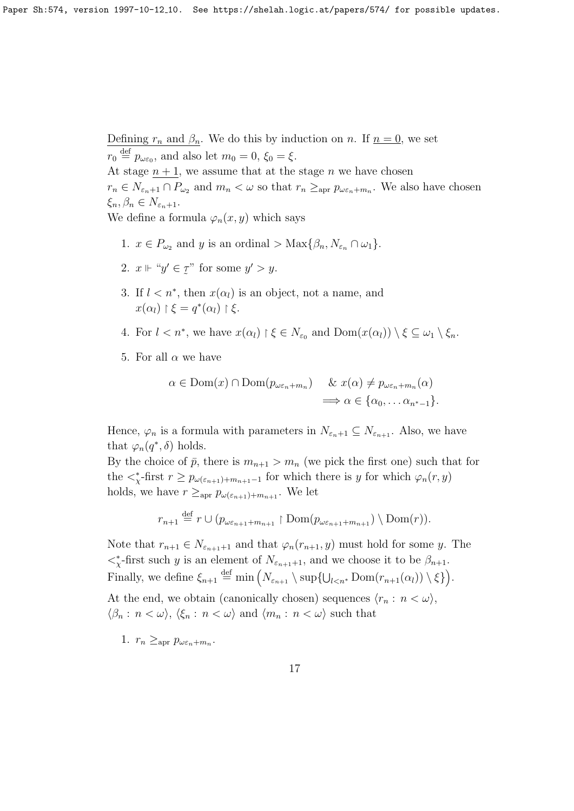Defining  $r_n$  and  $\beta_n$ . We do this by induction on n. If  $n = 0$ , we set  $r_0 \stackrel{\text{def}}{=} p_{\omega \varepsilon_0}$ , and also let  $m_0 = 0$ ,  $\xi_0 = \xi$ .

At stage  $n + 1$ , we assume that at the stage n we have chosen  $r_n \in N_{\varepsilon_n+1} \cap P_{\omega_2}$  and  $m_n < \omega$  so that  $r_n \geq_{\rm apr} p_{\omega \varepsilon_n+m_n}$ . We also have chosen  $\xi_n, \beta_n \in N_{\varepsilon_n+1}.$ 

We define a formula  $\varphi_n(x, y)$  which says

- 1.  $x \in P_{\omega_2}$  and y is an ordinal > Max $\{\beta_n, N_{\varepsilon_n} \cap \omega_1\}.$
- 2.  $x \Vdash "y' \in \mathcal{I}$  $\ddot{\phantom{1}}$ " for some  $y' > y$ .
- 3. If  $l < n^*$ , then  $x(\alpha_l)$  is an object, not a name, and  $x(\alpha_l) \restriction \xi = q^*(\alpha_l) \restriction \xi.$

4. For 
$$
l < n^*
$$
, we have  $x(\alpha_l) \upharpoonright \xi \in N_{\varepsilon_0}$  and  $\text{Dom}(x(\alpha_l)) \setminus \xi \subseteq \omega_1 \setminus \xi_n$ .

5. For all  $\alpha$  we have

$$
\alpha \in \text{Dom}(x) \cap \text{Dom}(p_{\omega \varepsilon_n + m_n}) \quad \& \ x(\alpha) \neq p_{\omega \varepsilon_n + m_n}(\alpha)
$$

$$
\implies \alpha \in \{\alpha_0, \dots \alpha_{n^* - 1}\}.
$$

Hence,  $\varphi_n$  is a formula with parameters in  $N_{\varepsilon_n+1} \subseteq N_{\varepsilon_{n+1}}$ . Also, we have that  $\varphi_n(q^*,\delta)$  holds.

By the choice of  $\bar{p}$ , there is  $m_{n+1} > m_n$  (we pick the first one) such that for the  $\langle \xi \rangle$ -first  $r \geq p_{\omega(\varepsilon_{n+1})+m_{n+1}-1}$  for which there is y for which  $\varphi_n(r, y)$ holds, we have  $r \geq_{\text{apr}} p_{\omega(\varepsilon_{n+1})+m_{n+1}}$ . We let

$$
r_{n+1} \stackrel{\text{def}}{=} r \cup (p_{\omega \varepsilon_{n+1} + m_{n+1}} \restriction \text{Dom}(p_{\omega \varepsilon_{n+1} + m_{n+1}}) \setminus \text{Dom}(r)).
$$

Note that  $r_{n+1} \in N_{\varepsilon_{n+1}+1}$  and that  $\varphi_n(r_{n+1}, y)$  must hold for some y. The  $\langle \xi \rangle$ -first such y is an element of  $N_{\varepsilon_{n+1}+1}$ , and we choose it to be  $\beta_{n+1}$ . Finally, we define  $\xi_{n+1} \stackrel{\text{def}}{=} \min \left(N_{\varepsilon_{n+1}} \setminus \sup \{U_{l \leq n^*} \operatorname{Dom}(r_{n+1}(\alpha_l)) \setminus \xi\}\right)$ . At the end, we obtain (canonically chosen) sequences  $\langle r_n : n < \omega \rangle$ ,  $\langle \beta_n : n < \omega \rangle$ ,  $\langle \xi_n : n < \omega \rangle$  and  $\langle m_n : n < \omega \rangle$  such that

1.  $r_n \geq_{\text{apr}} p_{\omega \varepsilon_n + m_n}$ .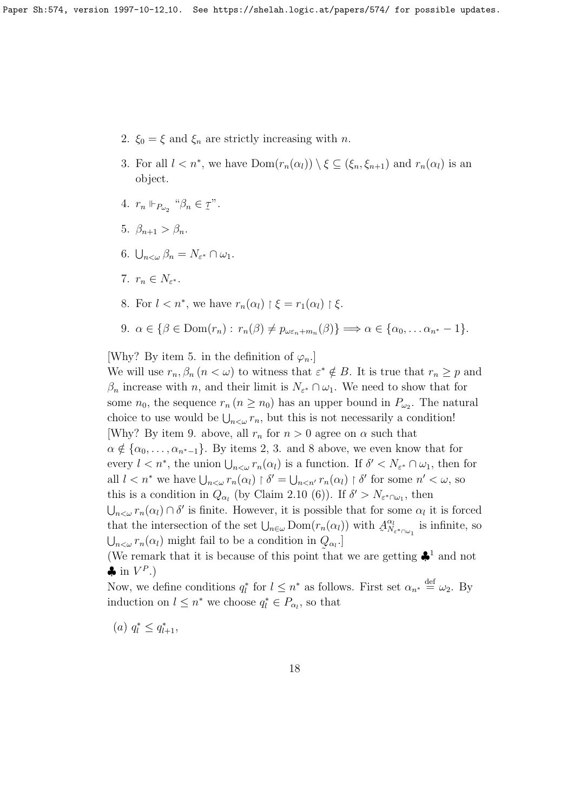- 2.  $\xi_0 = \xi$  and  $\xi_n$  are strictly increasing with n.
- 3. For all  $l < n^*$ , we have  $Dom(r_n(\alpha_l)) \setminus \xi \subseteq (\xi_n, \xi_{n+1})$  and  $r_n(\alpha_l)$  is an object.
- 4.  $r_n \Vdash_{P_{\omega_2}}$  " $\beta_n \in \mathcal{I}$  $\tilde{a}$ ".
- 5.  $\beta_{n+1} > \beta_n$ .
- 6.  $\bigcup_{n<\omega}\beta_n=N_{\varepsilon^*}\cap\omega_1.$
- 7.  $r_n \in N_{\varepsilon^*}.$
- 8. For  $l < n^*$ , we have  $r_n(\alpha_l) \upharpoonright \xi = r_1(\alpha_l) \upharpoonright \xi$ .

9. 
$$
\alpha \in \{\beta \in \text{Dom}(r_n): r_n(\beta) \neq p_{\omega \varepsilon_n + m_n}(\beta)\} \Longrightarrow \alpha \in \{\alpha_0, \dots \alpha_{n^*} - 1\}.
$$

[Why? By item 5. in the definition of  $\varphi_n$ .]

We will use  $r_n, \beta_n$   $(n < \omega)$  to witness that  $\varepsilon^* \notin B$ . It is true that  $r_n \geq p$  and  $\beta_n$  increase with n, and their limit is  $N_{\varepsilon} \cap \omega_1$ . We need to show that for some  $n_0$ , the sequence  $r_n (n \ge n_0)$  has an upper bound in  $P_{\omega_2}$ . The natural choice to use would be  $\bigcup_{n<\omega} r_n$ , but this is not necessarily a condition! [Why? By item 9. above, all  $r_n$  for  $n > 0$  agree on  $\alpha$  such that  $\alpha \notin {\alpha_0, \ldots, \alpha_{n^*-1}}$ . By items 2, 3. and 8 above, we even know that for every  $l < n^*$ , the union  $\bigcup_{n < \omega} r_n(\alpha_l)$  is a function. If  $\delta' < N_{\varepsilon^*} \cap \omega_1$ , then for all  $l < n^*$  we have  $\bigcup_{n < \omega} r_n(\alpha_l) \restriction \delta' = \bigcup_{n < n'} r_n(\alpha_l) \restriction \delta'$  for some  $n' < \omega$ , so this is a condition in  $Q_{\alpha_l}$  (by Claim 2.10 (6)). If  $\delta' > N_{\varepsilon^* \cap \omega_1}$ , then  $\bigcup_{n<\omega} r_n(\alpha_l) \cap \delta'$  is finite. However, it is possible that for some  $\alpha_l$  it is forced that the intersection of the set  $\bigcup_{n\in\omega}$  Dom $(r_n(\alpha_l))$  with  $\mathcal{A}$  $\alpha_l$  $\frac{\alpha_l}{N_{\varepsilon} *_{\cap \omega_1}}$  is infinite, so  $\bigcup_{n<\omega} r_n(\alpha_l)$  might fail to be a condition in  $Q_{\alpha_l}$ . (We remark that it is because of this point that we are getting  $\clubsuit^1$  and not

 $\clubsuit$  in  $V^P$ .)

Now, we define conditions  $q_l^*$  for  $l \leq n^*$  as follows. First set  $\alpha_{n^*} \stackrel{\text{def}}{=} \omega_2$ . By induction on  $l \leq n^*$  we choose  $q_l^* \in P_{\alpha_l}$ , so that

(a)  $q_l^* \leq q_{l+1}^*$ ,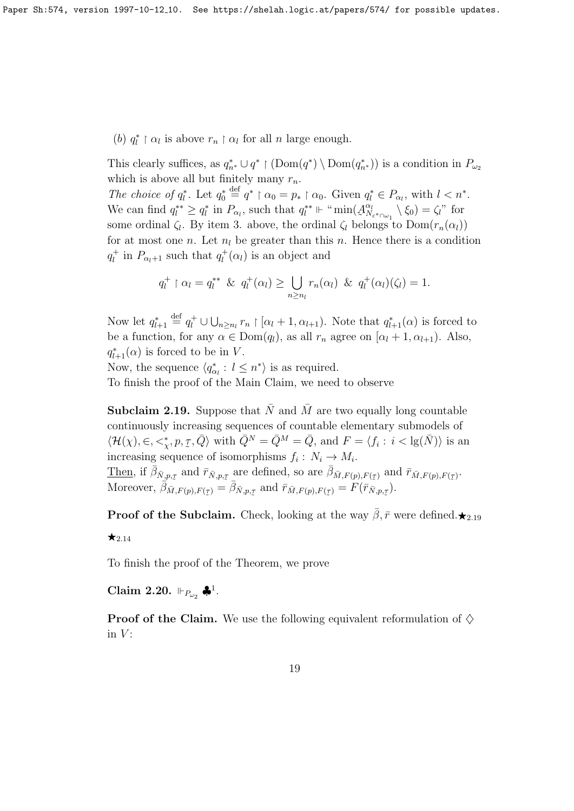(b)  $q_l^* \upharpoonright \alpha_l$  is above  $r_n \upharpoonright \alpha_l$  for all n large enough.

This clearly suffices, as  $q_{n^*}^* \cup q^* \restriction (\text{Dom}(q^*) \setminus \text{Dom}(q_{n^*}^*))$  is a condition in  $P_{\omega_2}$ which is above all but finitely many  $r_n$ .

The choice of  $q_l^*$ . Let  $q_0^* \stackrel{\text{def}}{=} q^* \upharpoonright \alpha_0 = p_* \upharpoonright \alpha_0$ . Given  $q_l^* \in P_{\alpha_l}$ , with  $l < n^*$ . We can find  $q_l^{**} \geq q_l^*$  in  $P_{\alpha_l}$ , such that  $q_l^{**} \Vdash \text{``min}(A)$  $\alpha_l$  $\chi^{\alpha_l}_{N_{\varepsilon}*\cap\omega_1}\setminus \xi_0)=\zeta_l$ " for some ordinal  $\zeta_l$ . By item 3. above, the ordinal  $\zeta_l$  belongs to  $Dom(r_n(\alpha_l))$ for at most one n. Let  $n_l$  be greater than this n. Hence there is a condition  $q_l^+$  in  $P_{\alpha_l+1}$  such that  $q_l^+(\alpha_l)$  is an object and

$$
q_l^+ \upharpoonright \alpha_l = q_l^{**} \& q_l^+(\alpha_l) \geq \bigcup_{n \geq n_l} r_n(\alpha_l) \& q_l^+(\alpha_l)(\zeta_l) = 1.
$$

Now let  $q_{l+1}^* \stackrel{\text{def}}{=} q_l^+ \cup \bigcup_{n \geq n_l} r_n \upharpoonright [\alpha_l + 1, \alpha_{l+1})$ . Note that  $q_{l+1}^*(\alpha)$  is forced to be a function, for any  $\alpha \in \text{Dom}(q_l)$ , as all  $r_n$  agree on  $[\alpha_l + 1, \alpha_{l+1})$ . Also,  $q_{l+1}^*(\alpha)$  is forced to be in V.

Now, the sequence  $\langle q_{\alpha_l}^* : l \leq n^* \rangle$  is as required. To finish the proof of the Main Claim, we need to observe

**Subclaim 2.19.** Suppose that  $\overline{N}$  and  $\overline{M}$  are two equally long countable continuously increasing sequences of countable elementary submodels of  $\langle \mathcal{H}(\chi), \in, <^*_\chi, p, \mathcal{I}, \bar{Q} \rangle$  with  $\bar{Q}^N = \bar{Q}^M = \bar{Q}$ , and  $F = \langle f_i : i < \lg(\bar{N}) \rangle$  is an increasing sequence of isomorphisms  $f_i : N_i \to M_i$ . Then, if  $\bar{\beta}_{\bar{N},p,\tau}$  and  $\bar{r}_{\bar{N},p,\tau}$  are defined, so are  $\bar{\beta}_{\bar{M},F(p),F(\tau)}$  and  $\bar{r}_{\bar{M},F(p),F(\tau)}$ . Moreover,  $\overline{\beta}_{\overline{M},F(p),F(\tau)} = \overline{\beta}_{\overline{N},p,\tau}$  and  $\overline{r}_{\overline{M},F(p),F(\tau)} = \overline{F(\overline{r}_{\overline{N},p,\tau})}$ . ˜ ˜ ˜  $\tilde{\mathcal{C}}$ 

**Proof of the Subclaim.** Check, looking at the way  $\bar{\beta}$ ,  $\bar{r}$  were defined. $\star_{2,19}$ 

 $\star$ <sub>2.14</sub>

To finish the proof of the Theorem, we prove

Claim 2.20.  $\Vdash_{P_{\omega_2}} \clubsuit^1$ .

**Proof of the Claim.** We use the following equivalent reformulation of  $\diamond$ in  $V$ :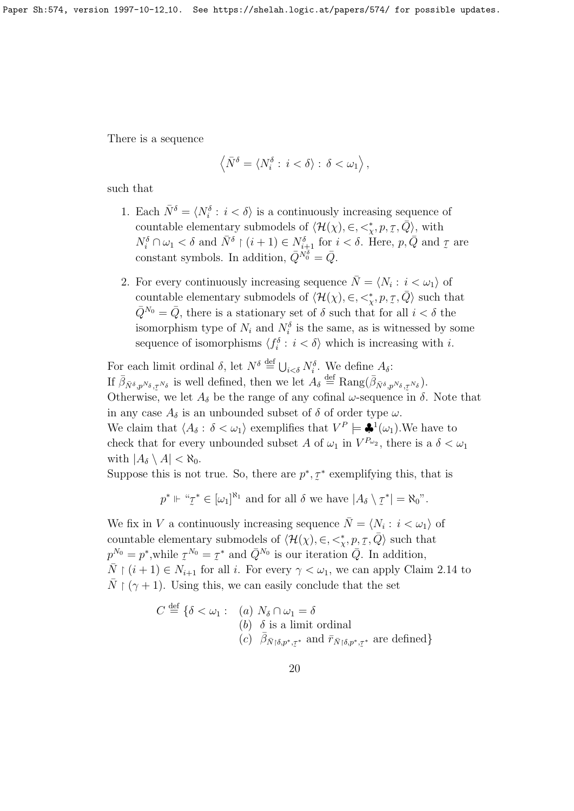There is a sequence

$$
\left\langle \bar{N}^{\delta}=\left\langle N^{\delta}_i:\,i<\delta\right\rangle :\,\delta<\omega_1\right\rangle,
$$

such that

- 1. Each  $\bar{N}^{\delta} = \langle N_i^{\delta} : i < \delta \rangle$  is a continuously increasing sequence of countable elementary submodels of  $\langle \mathcal{H}(\chi), \in, \lt^*_{\chi}, p, \mathcal{I}, \bar{Q} \rangle$ , with  $N_i^{\delta} \cap \omega_1 < \delta$  and  $\bar{N}^{\delta} \restriction (i+1) \in N_{i+1}^{\delta}$  for  $i < \delta$ . Here,  $p, \bar{Q}$  and  $\bar{Z}$ are constant symbols. In addition,  $\bar{Q}^{N_0^{\delta}} = \bar{Q}$ .
- 2. For every continuously increasing sequence  $\overline{N} = \langle N_i : i < \omega_1 \rangle$  of countable elementary submodels of  $\langle \mathcal{H}(\chi), \in, \lt^*_{\chi}, p, \tau, \bar{Q} \rangle$  such that  $\overline{Q}^{N_0} = \overline{Q}$ , there is a stationary set of  $\delta$  such that for all  $i < \delta$  the isomorphism type of  $N_i$  and  $N_i^{\delta}$  is the same, as is witnessed by some sequence of isomorphisms  $\langle f_i^{\delta} : i < \delta \rangle$  which is increasing with *i*.

For each limit ordinal  $\delta$ , let  $N^{\delta} \stackrel{\text{def}}{=} \bigcup_{i < \delta} N_i^{\delta}$ . We define  $A_{\delta}$ : If  $\bar{\beta}_{\bar{N}^{\delta},p^{N_{\delta}},\tau^{N_{\delta}}}$  is well defined, then we let  $A_{\delta} \stackrel{\text{def}}{=} \text{Rang}(\bar{\beta}_{\bar{N}^{\delta},p^{N_{\delta}},\tau^{N_{\delta}}}).$ Otherwise, we let  $A_{\delta}$  be the range of any cofinal  $\omega$ -sequence in  $\delta$ . Note that in any case  $A_{\delta}$  is an unbounded subset of  $\delta$  of order type  $\omega$ . We claim that  $\langle A_{\delta} : \delta < \omega_1 \rangle$  exemplifies that  $V^P \models \clubsuit^1(\omega_1)$ . We have to check that for every unbounded subset A of  $\omega_1$  in  $V^{P_{\omega_2}}$ , there is a  $\delta < \omega_1$ with  $|A_\delta \setminus A| < \aleph_0$ .

Suppose this is not true. So, there are  $p^*, \overline{z}$  $\tilde{\phantom{a}}$ ∗ exemplifying this, that is

$$
p^* \Vdash " \mathcal{I}^* \in [\omega_1]^{\aleph_1}
$$
 and for all  $\delta$  we have  $|A_{\delta} \setminus \mathcal{I}^*| = \aleph_0"$ .

We fix in V a continuously increasing sequence  $\overline{N} = \langle N_i : i < \omega_1 \rangle$  of countable elementary submodels of  $\langle \mathcal{H}(\chi), \in, \lt^*_{\chi}, p, \underline{\tau}, \overline{Q} \rangle$  such that  $p^{N_0} = p^*$ , while  $\tau^{N_0} = \tau^*$  and  $\bar{Q}^{N_0}$  is our iteration  $\bar{Q}$ . In addition,  $\overline{N}$   $\upharpoonright$   $(i + 1) \in N_{i+1}$  for all *i*. For every  $\gamma < \omega_1$ , we can apply Claim 2.14 to  $\overline{N}$   $(\gamma + 1)$ . Using this, we can easily conclude that the set

$$
C \stackrel{\text{def}}{=} \{ \delta < \omega_1 : \text{ (a) } N_\delta \cap \omega_1 = \delta
$$
\n
$$
\text{(b) } \delta \text{ is a limit ordinal}
$$
\n
$$
\text{(c) } \bar{\beta}_{\bar{N} \upharpoonright \delta, p^*, \tau^*} \text{ and } \bar{r}_{\bar{N} \upharpoonright \delta, p^*, \tau^*} \text{ are defined} \}
$$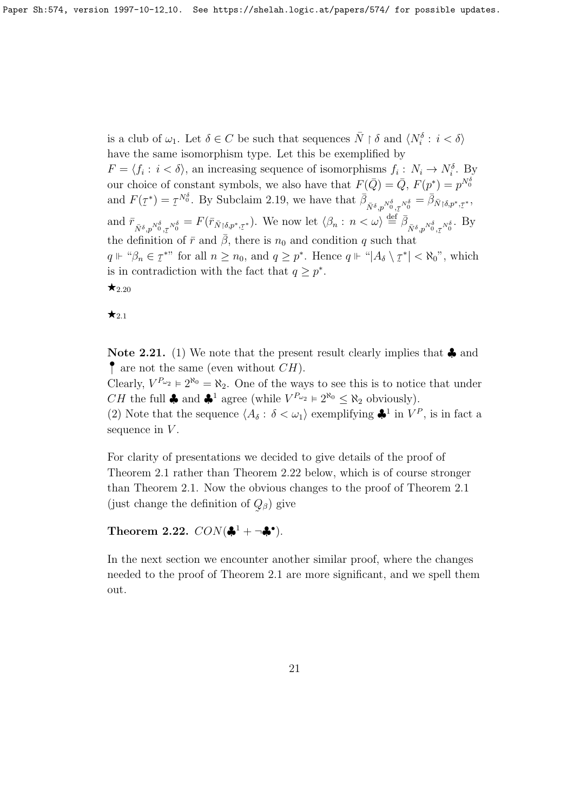is a club of  $\omega_1$ . Let  $\delta \in C$  be such that sequences  $\bar{N} \restriction \delta$  and  $\langle N_i^{\delta} : i < \delta \rangle$ have the same isomorphism type. Let this be exemplified by

 $F = \langle f_i : i < \delta \rangle$ , an increasing sequence of isomorphisms  $f_i : N_i \to N_i^{\delta}$ . By our choice of constant symbols, we also have that  $F(\bar{Q}) = \bar{Q}$ ,  $F(p^*) = p^{N_0^{\delta}}$ and  $F(\tau)$  $\tilde{\phantom{0}}$  $^{\ast})=\mathcal{I}$  $\tilde{\phantom{a}}$ <sup>N</sup><sup>δ</sup>. By Subclaim 2.19, we have that  $\bar{\beta}_{\bar{N}^{\delta},p^{N_0^{\delta}},\bar{\tau}^{N_0^{\delta}}} = \bar{\beta}_{\bar{N} \upharpoonright \delta,p^*,\bar{\tau}}$ and  $\bar{r}_{\bar{N}^{\delta},p^{N^{\delta}_{0}},\bar{\tau}^{N^{\delta}_{0}}} = F(\bar{r}_{\bar{N}\restriction \delta,p^*,\bar{\tau}^*})$ . We now let  $\langle \beta_n : n \langle \omega \rangle \stackrel{\text{def}}{=} \bar{\beta}_{\bar{N}^{\delta},p^{N^{\delta}_{0}},\bar{\tau}^{N^{\delta}_{0}}}$ . By ∗ , the definition of  $\bar{r}$  and  $\bar{\beta}$ , there is  $n_0$  and condition q such that ˜  $q \Vdash \text{``}\beta_n \in \text{I}^*$ " for all  $n \geq n_0$ , and  $q \geq p^*$ . Hence  $q \Vdash \text{``}|A_\delta \setminus \text{I}$ is in contradiction with the fact that  $q \geq p^*$ .  $\ddot{\phantom{1}}$  $|\mathbf{R}^*| < \aleph_0$ ", which  $\star_{2.20}$ 

 $\star_{2.1}$ 

Note 2.21. (1) We note that the present result clearly implies that  $\clubsuit$  and  $\bullet$  are not the same (even without  $CH$ ).

Clearly,  $V^{P_{\omega_2}} \models 2^{\aleph_0} = \aleph_2$ . One of the ways to see this is to notice that under  $CH$  the full  $\clubsuit$  and  $\clubsuit^1$  agree (while  $V^{P_{\omega_2}} \models 2^{\aleph_0} \leq \aleph_2$  obviously).

(2) Note that the sequence  $\langle A_\delta : \delta < \omega_1 \rangle$  exemplifying  $\clubsuit^1$  in  $V^P$ , is in fact a sequence in  $V$ .

For clarity of presentations we decided to give details of the proof of Theorem 2.1 rather than Theorem 2.22 below, which is of course stronger than Theorem 2.1. Now the obvious changes to the proof of Theorem 2.1 (just change the definition of  $Q_{\beta}$ ) give  $\tilde{\phantom{a}}$ 

Theorem 2.22.  $CON(\clubsuit^1 + \neg \clubsuit^{\bullet})$ .

In the next section we encounter another similar proof, where the changes needed to the proof of Theorem 2.1 are more significant, and we spell them out.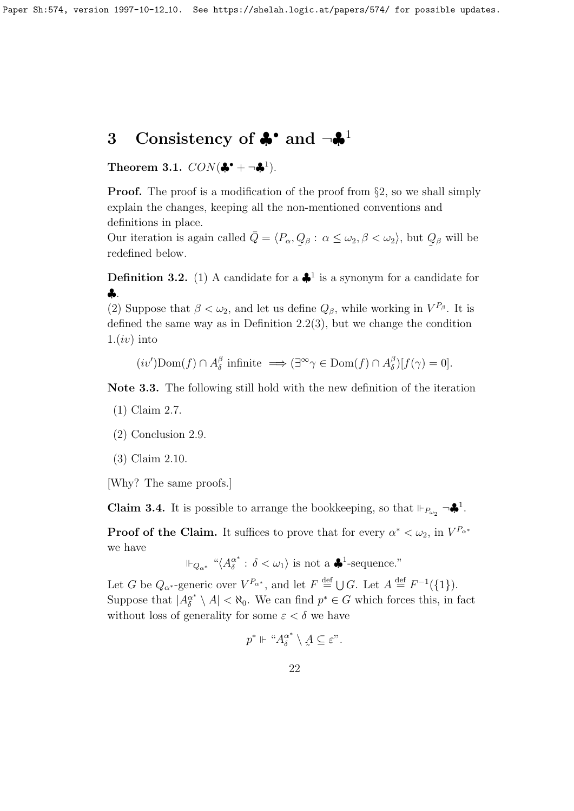## 3 Consistency of  $\clubsuit$  and  $\neg \clubsuit$ <sup>1</sup>

Theorem 3.1.  $CON(\clubsuit^* + \neg \clubsuit^1)$ .

**Proof.** The proof is a modification of the proof from §2, so we shall simply explain the changes, keeping all the non-mentioned conventions and definitions in place.

Our iteration is again called  $\overline{Q} = \langle P_{\alpha}, Q_{\beta} : \alpha \leq \omega_2, \beta < \omega_2 \rangle$ , but  $Q_{\beta}$  will be  $\tilde{\phantom{a}}$  $\tilde{\phantom{a}}$ redefined below.

**Definition 3.2.** (1) A candidate for a  $\clubsuit$ <sup>1</sup> is a synonym for a candidate for ♣.

(2) Suppose that  $\beta < \omega_2$ , and let us define  $Q_{\beta}$ , while working in  $V^{P_{\beta}}$ . It is defined the same way as in Definition 2.2(3), but we change the condition  $1.(iv)$  into

 $(iv')$ Dom $(f) \cap A_{\delta}^{\beta}$  $\delta$  infinite  $\implies (\exists^{\infty} \gamma \in \text{Dom}(f) \cap A_{\delta}^{\beta})$  $\int_{\delta}^{\beta}$ )[ $f(\gamma) = 0$ ].

Note 3.3. The following still hold with the new definition of the iteration

- (1) Claim 2.7.
- (2) Conclusion 2.9.
- (3) Claim 2.10.

[Why? The same proofs.]

**Claim 3.4.** It is possible to arrange the bookkeeping, so that  $\Vdash_{P_{\omega_2}} \neg \clubsuit^1$ .

**Proof of the Claim.** It suffices to prove that for every  $\alpha^* < \omega_2$ , in  $V^{P_{\alpha^*}}$ we have

$$
\Vdash_{Q_{\alpha^*}} \text{``}\langle A_{\delta}^{\alpha^*}:\, \delta < \omega_1 \rangle \text{ is not a } \clubsuit^1\text{-sequence.''}
$$

Let G be  $Q_{\alpha^*}$ -generic over  $V^{P_{\alpha^*}}$ , and let  $F \stackrel{\text{def}}{=} \bigcup G$ . Let  $A \stackrel{\text{def}}{=} F^{-1}(\{1\})$ . Suppose that  $|A_{\delta}^{\alpha^*} \setminus A| < \aleph_0$ . We can find  $p^* \in G$  which forces this, in fact without loss of generality for some  $\varepsilon < \delta$  we have

$$
p^* \Vdash \text{``} A_{\delta}^{\alpha^*} \setminus A \subseteq \varepsilon\text{''}.
$$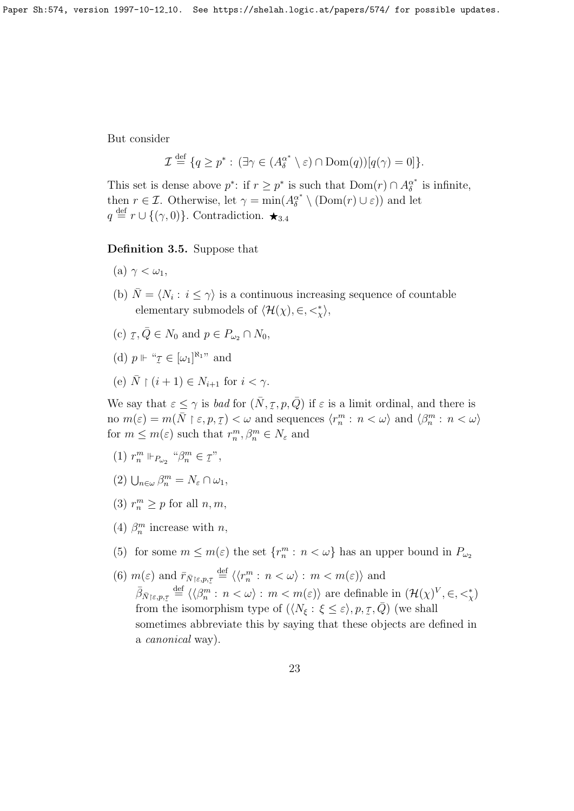But consider

$$
\mathcal{I} \stackrel{\text{def}}{=} \{q \ge p^* : (\exists \gamma \in (A_\delta^{\alpha^*} \setminus \varepsilon) \cap \text{Dom}(q))[q(\gamma) = 0] \}.
$$

This set is dense above  $p^*$ : if  $r \geq p^*$  is such that  $Dom(r) \cap A_{\delta}^{\alpha^*}$  $\delta^*$  is infinite, then  $r \in \mathcal{I}$ . Otherwise, let  $\gamma = \min(A_{\delta}^{\alpha^*} \setminus (\text{Dom}(r) \cup \varepsilon))$  and let  $q \stackrel{\text{def}}{=} r \cup \{(\gamma, 0)\}.$  Contradiction.  $\star_{3.4}$ 

Definition 3.5. Suppose that

- (a)  $\gamma < \omega_1$ ,
- (b)  $\overline{N} = \langle N_i : i \leq \gamma \rangle$  is a continuous increasing sequence of countable elementary submodels of  $\langle \mathcal{H}(\chi), \in, <^*_{\chi} \rangle$ ,
- (c)  $\tau$  $\tau, \overline{Q} \in N_0$  and  $p \in P_{\omega_2} \cap N_0$ ,
- (d)  $p \Vdash " \mathcal{I} \in [\omega_1]^{\aleph_1}$ " and  $\ddot{\gamma}$
- (e)  $\bar{N} \restriction (i+1) \in N_{i+1}$  for  $i < \gamma$ .

We say that  $\varepsilon \leq \gamma$  is bad for  $(\bar{N}, \tau, p, \bar{Q})$  if  $\varepsilon$  is a limit ordinal, and there is no  $m(\varepsilon) = m(\overline{N} \mid \varepsilon, p, \tau) < \omega$  and sequences  $\langle r_n^m : n < \omega \rangle$  and  $\langle \beta_n^m : n < \omega \rangle$ for  $m \leq m(\varepsilon)$  such that  $r_n^m, \beta_n^m \in N_{\varepsilon}$  and

- (1)  $r_n^m \Vdash_{P_{\omega_2}} \text{``}\beta_n^m \in \mathcal{I}$ ",
- (2)  $\bigcup_{n\in\omega}\beta^m_n=N_{\varepsilon}\cap\omega_1,$
- (3)  $r_n^m \geq p$  for all  $n, m$ ,
- (4)  $\beta_n^m$  increase with *n*,
- (5) for some  $m \leq m(\varepsilon)$  the set  $\{r_n^m : n < \omega\}$  has an upper bound in  $P_{\omega_2}$
- (6)  $m(\varepsilon)$  and  $\bar{r}_{\bar{N}\upharpoonright\varepsilon,p,\tau} \stackrel{\text{def}}{=} \langle \langle r_n^m : n \langle \omega \rangle : m \langle m(\varepsilon) \rangle \rangle$  and  $\bar{\beta}_{\bar{N}\restriction \varepsilon,p,\underline{\tau}} \stackrel{\text{def}}{=} \langle \langle \beta_m^m : n \langle \omega \rangle : m \langle m(\varepsilon) \rangle \text{ are definable in } (\mathcal{H}(\chi)^V, \in, \leq^*_{\chi})$ from the isomorphism type of  $(\langle N_\xi : \xi \leq \varepsilon \rangle, p, \overline{\zeta}, \overline{Q})$  (we shall sometimes abbreviate this by saying that these objects are defined in a canonical way).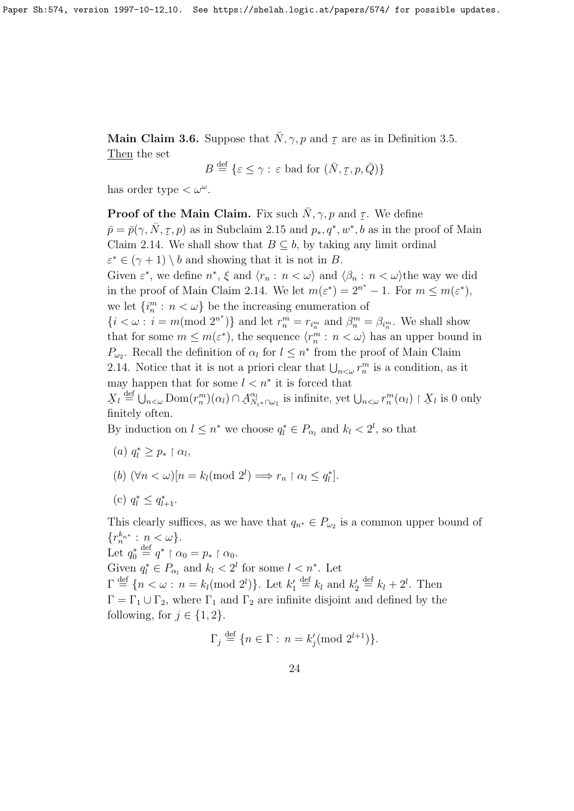Main Claim 3.6. Suppose that  $\bar{N}, \gamma, p$  and  $\bar{p}$  $\ddot{\tau}$ are as in Definition 3.5. Then the set

$$
B \stackrel{\text{def}}{=} \{ \varepsilon \le \gamma : \varepsilon \text{ bad for } (\bar{N}, \underline{\tau}, p, \bar{Q}) \}
$$

has order type  $<\omega^{\omega}$ .

**Proof of the Main Claim.** Fix such  $\bar{N}$ ,  $\gamma$ ,  $p$  and  $q$ . We define  $\bar{p} = \bar{p}(\gamma, \bar{N}, \tau, p)$  as in Subclaim 2.15 and  $p_*, q^*, w^*, b$  as in the proof of Main Claim 2.14. We shall show that  $B \subseteq b$ , by taking any limit ordinal  $\varepsilon^* \in (\gamma + 1) \setminus b$  and showing that it is not in B. Given  $\varepsilon^*$ , we define  $n^*$ ,  $\xi$  and  $\langle r_n : n < \omega \rangle$  and  $\langle \beta_n : n < \omega \rangle$  the way we did in the proof of Main Claim 2.14. We let  $m(\varepsilon^*) = 2^{n^*} - 1$ . For  $m \leq m(\varepsilon^*)$ , we let  $\{i_n^m : n < \omega\}$  be the increasing enumeration of  $\{i < \omega : i = m \pmod{2^{n^*}}\}$  and let  $r_n^m = r_{i_n^m}$  and  $\beta_n^m = \beta_{i_n^m}$ . We shall show that for some  $m \leq m(\varepsilon^*)$ , the sequence  $\langle r_n^m : n \langle \omega \rangle$  has an upper bound in  $P_{\omega_2}$ . Recall the definition of  $\alpha_l$  for  $l \leq n^*$  from the proof of Main Claim 2.14. Notice that it is not a priori clear that  $\bigcup_{n<\omega} r_n^m$  is a condition, as it may happen that for some  $l < n^*$  it is forced that  $\chi_l \stackrel{\text{def}}{=} \bigcup_{n < \omega} \text{Dom}(r_n^m)(\alpha_l) \cap A$  $\sum_{n=-\infty}^{\infty}$  finitely often.  $\tilde{a}$  $\alpha_l$  $\sum_{N_{\varepsilon} \times \cap \omega_1}^{\alpha_l}$  is infinite, yet  $\bigcup_{n < \omega} r_n^m(\alpha_l) \restriction X$  $\mathbf{X}_l$  is 0 only

By induction on  $l \leq n^*$  we choose  $q_l^* \in P_{\alpha_l}$  and  $k_l < 2^l$ , so that

- (a)  $q_l^* \geq p_* \restriction \alpha_l$ ,
- (b)  $(\forall n < \omega)[n = k_l \text{ (mod } 2^l) \Longrightarrow r_n \restriction \alpha_l \leq q_l^*].$
- (c)  $q_l^* \leq q_{l+1}^*$ .

This clearly suffices, as we have that  $q_{n^*} \in P_{\omega_2}$  is a common upper bound of  $\{r_n^{k_{n^*}} : n < \omega\}.$ 

Let  $q_0^* \stackrel{\text{def}}{=} q^* \upharpoonright \alpha_0 = p_* \upharpoonright \alpha_0$ .

Given  $q_l^* \in P_{\alpha_l}$  and  $k_l < 2^l$  for some  $l < n^*$ . Let

 $\Gamma \stackrel{\text{def}}{=} \{n < \omega : n = k_l \text{ (mod } 2^l)\}\.$  Let  $k'_1 \stackrel{\text{def}}{=} k_l$  and  $k'_2 \stackrel{\text{def}}{=} k_l + 2^l$ . Then  $\Gamma = \Gamma_1 \cup \Gamma_2$ , where  $\Gamma_1$  and  $\Gamma_2$  are infinite disjoint and defined by the following, for  $j \in \{1,2\}$ .

$$
\Gamma_j \stackrel{\text{def}}{=} \{ n \in \Gamma : n = k'_j \pmod{2^{l+1}} \}.
$$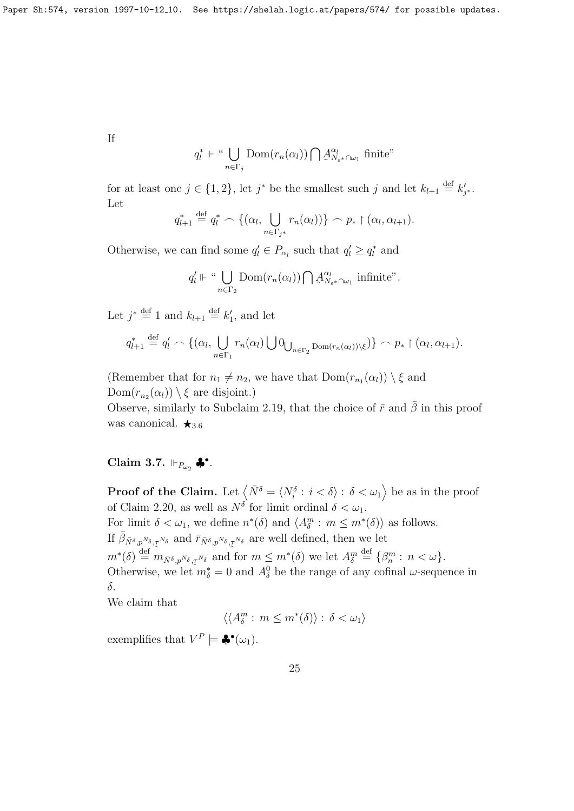If

$$
q_l^* \Vdash \text{``}\bigcup_{n \in \Gamma_j} \text{Dom}(r_n(\alpha_l)) \bigcap \mathcal{A}_{N_{\varepsilon^*} \cap \omega_1}^{\alpha_l} \text{ finite''}
$$

for at least one  $j \in \{1,2\}$ , let  $j^*$  be the smallest such j and let  $k_{l+1} \stackrel{\text{def}}{=} k'_{j^*}$ . Let

$$
q_{l+1}^* \stackrel{\text{def}}{=} q_l^* \frown \{(\alpha_l, \bigcup_{n \in \Gamma_{j^*}} r_n(\alpha_l))\} \frown p_* \upharpoonright (\alpha_l, \alpha_{l+1}).
$$

Otherwise, we can find some  $q'_l \in P_{\alpha_l}$  such that  $q'_l \geq q^*_l$  and

$$
q'_l \Vdash \text{``}\bigcup_{n \in \Gamma_2} \text{Dom}(r_n(\alpha_l)) \bigcap \mathcal{A}_{N_{\varepsilon} * \cap \omega_1}^{\alpha_l}
$$
 infinite".

Let  $j^* \stackrel{\text{def}}{=} 1$  and  $k_{l+1} \stackrel{\text{def}}{=} k'_1$ , and let

$$
q_{l+1}^* \stackrel{\text{def}}{=} q_l' \frown \{(\alpha_l, \bigcup_{n \in \Gamma_1} r_n(\alpha_l) \bigcup \{0\}_{n \in \Gamma_2} \text{Dom}(r_n(\alpha_l))\setminus \xi)\} \frown p_* \upharpoonright (\alpha_l, \alpha_{l+1}).
$$

(Remember that for  $n_1 \neq n_2$ , we have that  $Dom(r_{n_1}(\alpha_l)) \setminus \xi$  and  $Dom(r_{n_2}(\alpha_l)) \setminus \xi$  are disjoint.)

Observe, similarly to Subclaim 2.19, that the choice of  $\bar{r}$  and  $\bar{\beta}$  in this proof was canonical.  $\star_{3.6}$ 

### Claim 3.7.  $\Vdash_{P_{\omega_2}} \clubsuit^{\bullet}$ .

**Proof of the Claim.** Let  $\left\langle \bar{N}^{\delta} = \langle N_i^{\delta} : i < \delta \rangle : \delta < \omega_1 \right\rangle$  be as in the proof of Claim 2.20, as well as  $N^{\delta}$  for limit ordinal  $\delta < \omega_1$ . For limit  $\delta < \omega_1$ , we define  $n^*(\delta)$  and  $\langle A_\delta^m : m \leq m^*(\delta) \rangle$  as follows. If  $\bar{\beta}_{\bar{N}^{\delta},p^{N_{\delta}},\tau^{N_{\delta}}}$  and  $\bar{r}_{\bar{N}^{\delta},p^{N_{\delta}},\tau^{N_{\delta}}}$  are well defined, then we let  $m^*(\delta) \stackrel{\text{def}}{=} m_{\bar{N}^{\delta},p^{N_{\delta}},\tau^{N_{\delta}}}$  and for  $m \leq m^*(\delta)$  we let  $A_{\delta}^m \stackrel{\text{def}}{=} {\{\beta_n^m : n < \omega\}}$ . Otherwise, we let  $m_{\delta}^* = 0$  and  $A_{\delta}^0$  be the range of any cofinal  $\omega$ -sequence in δ.

We claim that

$$
\langle \langle A_{\delta}^m : m \leq m^*(\delta) \rangle : \delta < \omega_1 \rangle
$$

exemplifies that  $V^P \models \clubsuit^{\bullet}(\omega_1)$ .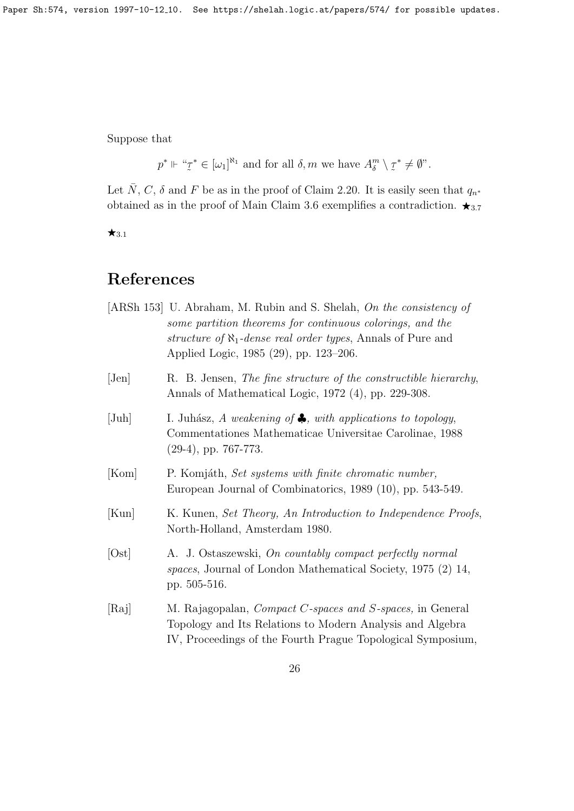Suppose that

 $p^* \Vdash "z$  $\tilde{\phantom{0}}$ <sup>\*</sup>  $\in [\omega_1]^{\aleph_1}$  and for all  $\delta, m$  we have  $A_{\delta}^m \setminus \mathcal{I}$  $^* ≠ \emptyset$ ".

Let  $\overline{N}$ , C,  $\delta$  and F be as in the proof of Claim 2.20. It is easily seen that  $q_{n*}$ obtained as in the proof of Main Claim 3.6 exemplifies a contradiction.  $\star_{3.7}$ 

 $\star$ 3.1

### References

|                | [ARSh 153] U. Abraham, M. Rubin and S. Shelah, On the consistency of<br>some partition theorems for continuous colorings, and the<br>structure of $\aleph_1$ -dense real order types, Annals of Pure and<br>Applied Logic, 1985 (29), pp. 123–206. |
|----------------|----------------------------------------------------------------------------------------------------------------------------------------------------------------------------------------------------------------------------------------------------|
| $[\text{Jen}]$ | R. B. Jensen, The fine structure of the constructible hierarchy,<br>Annals of Mathematical Logic, 1972 (4), pp. 229-308.                                                                                                                           |
| $[\text{Juh}]$ | I. Juhász, A weakening of $\clubsuit$ , with applications to topology,<br>Commentationes Mathematicae Universitae Carolinae, 1988<br>$(29-4)$ , pp. 767-773.                                                                                       |
| [Kom]          | P. Komjáth, Set systems with finite chromatic number,<br>European Journal of Combinatorics, 1989 (10), pp. 543-549.                                                                                                                                |
| [Kun]          | K. Kunen, Set Theory, An Introduction to Independence Proofs,<br>North-Holland, Amsterdam 1980.                                                                                                                                                    |
| [Ost]          | A. J. Ostaszewski, On countably compact perfectly normal<br>spaces, Journal of London Mathematical Society, 1975 (2) 14,<br>pp. 505-516.                                                                                                           |
| [Raj]          | M. Rajagopalan, <i>Compact C-spaces and S-spaces</i> , in General<br>Topology and Its Relations to Modern Analysis and Algebra<br>IV, Proceedings of the Fourth Prague Topological Symposium,                                                      |